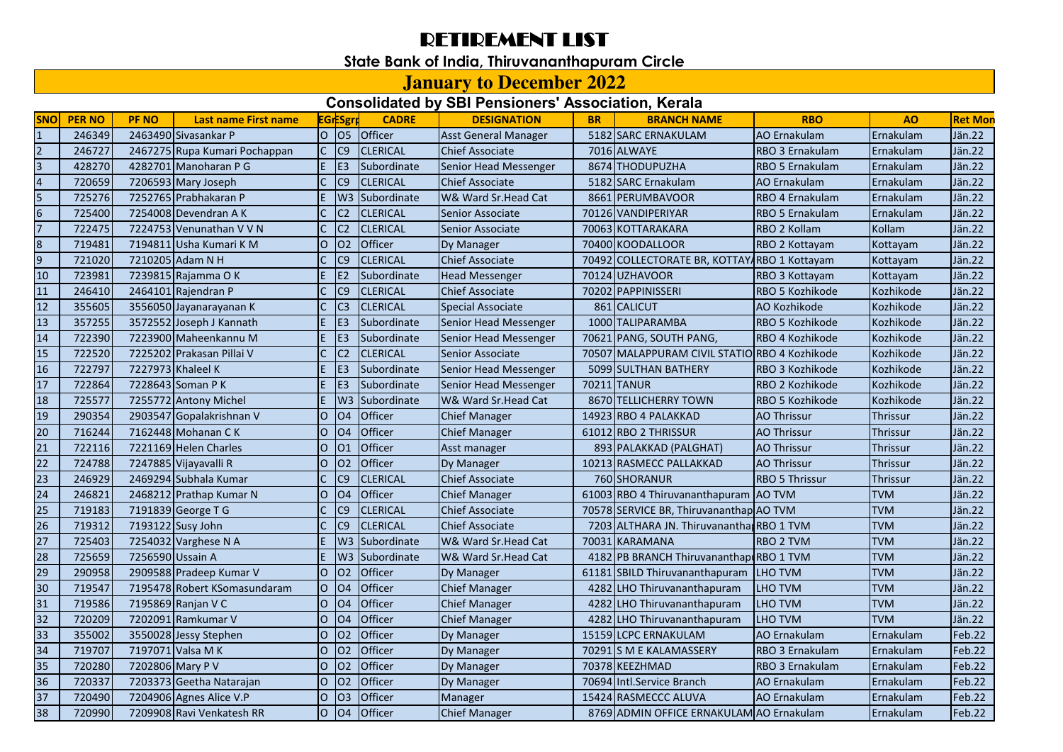## RETIREMENT LIST

## **State Bank of India, Thiruvananthapuram Circle**

## **January to December 2022**

## **Consolidated by SBI Pensioners' Association, Kerala**

| <b>SNO</b>       | <b>PER NO</b> | <b>PF NO</b>     | <b>Last name First name</b>   |                | <b>EGrESgr</b>  | <b>CADRE</b>               | <b>DESIGNATION</b>          | <b>BR</b> | <b>BRANCH NAME</b>                            | <b>RBO</b>            | A <sub>O</sub>  | <b>Ret Mon</b> |
|------------------|---------------|------------------|-------------------------------|----------------|-----------------|----------------------------|-----------------------------|-----------|-----------------------------------------------|-----------------------|-----------------|----------------|
| $\overline{1}$   | 246349        |                  | 2463490 Sivasankar P          | lo.            | O <sub>5</sub>  | <b>Officer</b>             | <b>Asst General Manager</b> |           | 5182 SARC ERNAKULAM                           | <b>AO</b> Ernakulam   | Ernakulam       | Jän.22         |
| $\overline{2}$   | 246727        |                  | 2467275 Rupa Kumari Pochappan | $\mathsf{C}$   | C <sub>9</sub>  | <b>CLERICAL</b>            | <b>Chief Associate</b>      |           | 7016 ALWAYE                                   | RBO 3 Ernakulam       | Ernakulam       | Jän.22         |
| $\overline{3}$   | 428270        |                  | 4282701 Manoharan P G         | E.             | IE <sub>3</sub> | Subordinate                | Senior Head Messenger       |           | 8674 THODUPUZHA                               | RBO 5 Ernakulam       | Ernakulam       | Jän.22         |
| $\overline{4}$   | 720659        |                  | 7206593 Mary Joseph           | C              | C <sub>9</sub>  | <b>CLERICAL</b>            | <b>Chief Associate</b>      |           | 5182 SARC Ernakulam                           | AO Ernakulam          | Ernakulam       | Jän.22         |
| 5                | 725276        |                  | 7252765 Prabhakaran P         | E.             |                 | W <sub>3</sub> Subordinate | W& Ward Sr. Head Cat        |           | 8661 PERUMBAVOOR                              | RBO 4 Ernakulam       | Ernakulam       | Jän.22         |
| $6 \overline{6}$ | 725400        |                  | 7254008 Devendran A K         | $\mathsf{C}$   | C <sub>2</sub>  | <b>CLERICAL</b>            | Senior Associate            |           | 70126 VANDIPERIYAR                            | RBO 5 Ernakulam       | Ernakulam       | Jän.22         |
| 17               | 722475        |                  | 7224753 Venunathan V V N      | $\mathsf{C}$   | C <sub>2</sub>  | <b>CLERICAL</b>            | Senior Associate            |           | 70063 KOTTARAKARA                             | <b>RBO 2 Kollam</b>   | Kollam          | Jän.22         |
| 8                | 719481        |                  | 7194811 Usha Kumari K M       | lo.            | <b>O2</b>       | Officer                    | Dy Manager                  |           | 70400 KOODALLOOR                              | RBO 2 Kottayam        | Kottayam        | Jän.22         |
| $\overline{9}$   | 721020        |                  | 7210205 Adam N H              |                | C <sub>9</sub>  | <b>CLERICAL</b>            | <b>Chief Associate</b>      | 70492     | COLLECTORATE BR, KOTTAY RBO 1 Kottayam        |                       | Kottayam        | Jän.22         |
| 10               | 723981        |                  | 7239815 Rajamma O K           |                | E <sub>2</sub>  | Subordinate                | <b>Head Messenger</b>       |           | 70124 UZHAVOOR                                | RBO 3 Kottayam        | Kottayam        | Jän.22         |
| 11               | 246410        |                  | 2464101 Rajendran P           | C              | C <sub>9</sub>  | <b>CLERICAL</b>            | <b>Chief Associate</b>      |           | 70202 PAPPINISSERI                            | RBO 5 Kozhikode       | Kozhikode       | Jän.22         |
| 12               | 355605        |                  | 3556050 Jayanarayanan K       | C              | C <sub>3</sub>  | <b>CLERICAL</b>            | Special Associate           |           | 861 CALICUT                                   | AO Kozhikode          | Kozhikode       | Jän.22         |
| 13               | 357255        |                  | 3572552 Joseph J Kannath      | E.             | E <sub>3</sub>  | Subordinate                | Senior Head Messenger       |           | 1000 TALIPARAMBA                              | RBO 5 Kozhikode       | Kozhikode       | Jän.22         |
| 14               | 722390        |                  | 7223900 Maheenkannu M         | E.             | E <sub>3</sub>  | Subordinate                | Senior Head Messenger       |           | 70621 PANG, SOUTH PANG,                       | RBO 4 Kozhikode       | Kozhikode       | Jän.22         |
| 15               | 722520        |                  | 7225202 Prakasan Pillai V     | $\mathsf{C}$   | C <sub>2</sub>  | <b>CLERICAL</b>            | <b>Senior Associate</b>     |           | 70507 MALAPPURAM CIVIL STATIO RBO 4 Kozhikode |                       | Kozhikode       | Jän.22         |
| 16               | 722797        |                  | 7227973 Khaleel K             | E.             | E <sub>3</sub>  | Subordinate                | Senior Head Messenger       |           | 5099 SULTHAN BATHERY                          | RBO 3 Kozhikode       | Kozhikode       | Jän.22         |
| 17               | 722864        |                  | 7228643 Soman P K             | E.             | E <sub>3</sub>  | Subordinate                | Senior Head Messenger       | 70211     | <b>TANUR</b>                                  | RBO 2 Kozhikode       | Kozhikode       | Jän.22         |
| 18               | 725577        |                  | 7255772 Antony Michel         | E.             |                 | W3 Subordinate             | W& Ward Sr.Head Cat         |           | 8670 TELLICHERRY TOWN                         | RBO 5 Kozhikode       | Kozhikode       | Jän.22         |
| 19               | 290354        |                  | 2903547 Gopalakrishnan V      | $\overline{O}$ | <b>O4</b>       | Officer                    | <b>Chief Manager</b>        |           | 14923 RBO 4 PALAKKAD                          | <b>AO Thrissur</b>    | <b>Thrissur</b> | Jän.22         |
| 20               | 716244        |                  | 7162448 Mohanan CK            | $\overline{O}$ | <b>O4</b>       | Officer                    | <b>Chief Manager</b>        |           | 61012 RBO 2 THRISSUR                          | <b>AO Thrissur</b>    | Thrissur        | Jän.22         |
| 21               | 722116        |                  | 7221169 Helen Charles         | $\overline{O}$ | O <sub>1</sub>  | <b>Officer</b>             | Asst manager                |           | 893 PALAKKAD (PALGHAT)                        | <b>AO Thrissur</b>    | <b>Thrissur</b> | Jän.22         |
| 22               | 724788        |                  | 7247885 Vijayavalli R         | lo             | <b>O2</b>       | Officer                    | Dy Manager                  |           | 10213 RASMECC PALLAKKAD                       | <b>AO Thrissur</b>    | Thrissur        | Jän.22         |
| 23               | 246929        |                  | 2469294 Subhala Kumar         |                | C9              | <b>CLERICAL</b>            | <b>Chief Associate</b>      |           | 760 SHORANUR                                  | <b>RBO 5 Thrissur</b> | Thrissur        | Jän.22         |
| $\overline{24}$  | 246821        |                  | 2468212 Prathap Kumar N       | lO.            | <b>O4</b>       | Officer                    | <b>Chief Manager</b>        |           | 61003 RBO 4 Thiruvananthapuram AO TVM         |                       | <b>TVM</b>      | Jän.22         |
| 25               | 719183        |                  | 7191839 George T G            | C              | C <sub>9</sub>  | <b>CLERICAL</b>            | <b>Chief Associate</b>      |           | 70578 SERVICE BR, Thiruvananthap AO TVM       |                       | <b>TVM</b>      | Jän.22         |
| 26               | 719312        |                  | 7193122 Susy John             |                | C <sub>9</sub>  | <b>CLERICAL</b>            | <b>Chief Associate</b>      |           | 7203 ALTHARA JN. Thiruvanantha RBO 1 TVM      |                       | <b>TVM</b>      | Jän.22         |
| 27               | 725403        |                  | 7254032 Varghese N A          | E.             |                 | W3 Subordinate             | W& Ward Sr. Head Cat        |           | 70031 KARAMANA                                | <b>RBO 2 TVM</b>      | <b>TVM</b>      | Jän.22         |
| 28               | 725659        | 7256590 Ussain A |                               | E.             | W <sub>3</sub>  | Subordinate                | W& Ward Sr.Head Cat         | 4182      | PB BRANCH Thiruvananthap RBO 1 TVM            |                       | <b>TVM</b>      | Jän.22         |
| 29               | 290958        |                  | 2909588 Pradeep Kumar V       | $\overline{O}$ | <b>O2</b>       | <b>Officer</b>             | Dy Manager                  | 61181     | SBILD Thiruvananthapuram                      | <b>LHO TVM</b>        | <b>TVM</b>      | Jän.22         |
| 30               | 719547        |                  | 7195478 Robert KSomasundaram  | $\overline{O}$ | O <sub>4</sub>  | Officer                    | <b>Chief Manager</b>        | 4282      | LHO Thiruvananthapuram                        | LHO TVM               | <b>TVM</b>      | Jän.22         |
| 31               | 719586        |                  | 7195869 Ranjan V C            | $\overline{O}$ | <b>O4</b>       | <b>Officer</b>             | <b>Chief Manager</b>        | 4282      | LHO Thiruvananthapuram                        | <b>LHO TVM</b>        | <b>TVM</b>      | Jän.22         |
| 32               | 720209        |                  | 7202091 Ramkumar V            | lo             | <b>O4</b>       | Officer                    | <b>Chief Manager</b>        | 4282      | LHO Thiruvananthapuram                        | LHO TVM               | <b>TVM</b>      | Jän.22         |
| 33               | 355002        |                  | 3550028 Jessy Stephen         | lO.            | <b>O2</b>       | Officer                    | Dy Manager                  |           | 15159 LCPC ERNAKULAM                          | <b>AO Ernakulam</b>   | Ernakulam       | Feb.22         |
| 34               | 719707        |                  | 7197071 Valsa M K             | lO.            | <b>O2</b>       | Officer                    | Dy Manager                  | 70291     | <b>S M E KALAMASSERY</b>                      | RBO 3 Ernakulam       | Ernakulam       | Feb.22         |
| 35               | 720280        | 7202806 Mary P V |                               | lO.            | 02              | Officer                    | Dy Manager                  |           | 70378 KEEZHMAD                                | RBO 3 Ernakulam       | Ernakulam       | Feb.22         |
| 36               | 720337        |                  | 7203373 Geetha Natarajan      | $\overline{O}$ | <b>O2</b>       | <b>Officer</b>             | Dy Manager                  |           | 70694 Intl.Service Branch                     | AO Ernakulam          | Ernakulam       | Feb.22         |
| 37               | 720490        |                  | 7204906 Agnes Alice V.P       | lO.            | O <sub>3</sub>  | Officer                    | Manager                     |           | 15424 RASMECCC ALUVA                          | AO Ernakulam          | Ernakulam       | Feb.22         |
| 38               | 720990        |                  | 7209908 Ravi Venkatesh RR     | $\overline{O}$ | <b>O4</b>       | Officer                    | <b>Chief Manager</b>        |           | 8769 ADMIN OFFICE ERNAKULAM AO Ernakulam      |                       | Ernakulam       | Feb.22         |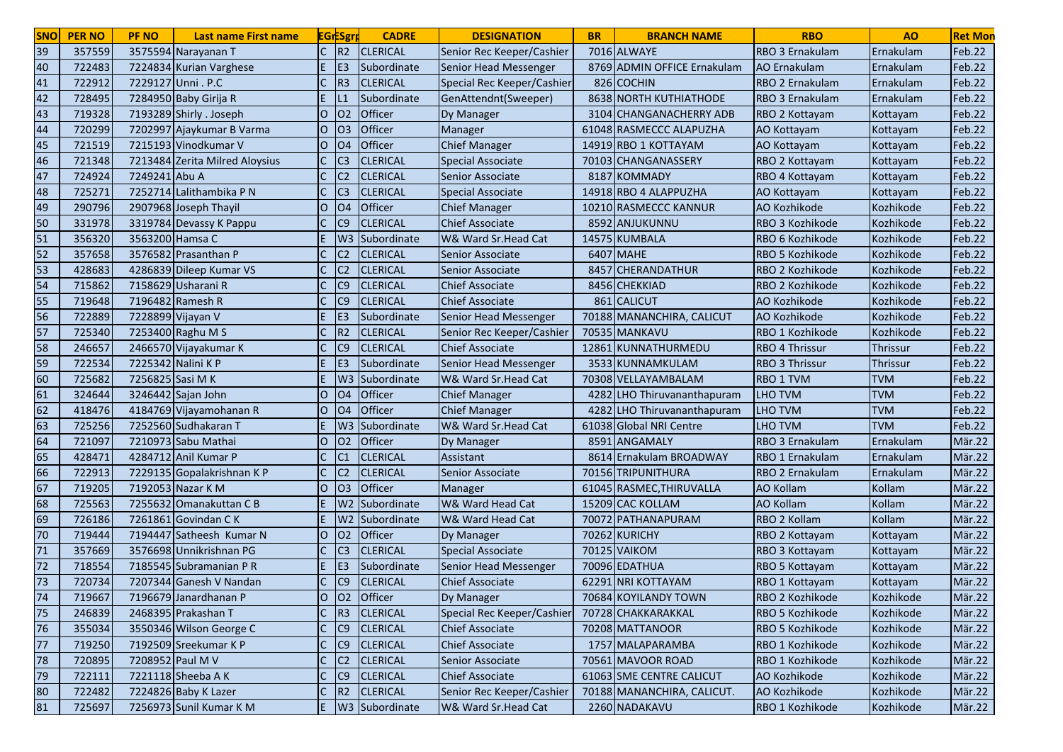| <b>SNO</b> | <b>PER NO</b> | <b>PF NO</b>     | Last name First name           |              | <b>EGrESgr</b> | <b>CADRE</b>    | <b>DESIGNATION</b>         | <b>BR</b> | <b>BRANCH NAME</b>          | <b>RBO</b>             | A <sub>O</sub>  | <b>Ret Mon</b> |
|------------|---------------|------------------|--------------------------------|--------------|----------------|-----------------|----------------------------|-----------|-----------------------------|------------------------|-----------------|----------------|
| 39         | 357559        |                  | 3575594 Narayanan T            |              | R <sub>2</sub> | <b>CLERICAL</b> | Senior Rec Keeper/Cashier  |           | 7016 ALWAYE                 | RBO 3 Ernakulam        | Ernakulam       | Feb.22         |
| 40         | 722483        |                  | 7224834 Kurian Varghese        |              | E <sub>3</sub> | Subordinate     | Senior Head Messenger      |           | 8769 ADMIN OFFICE Ernakulam | AO Ernakulam           | Ernakulam       | Feb.22         |
| 41         | 722912        |                  | 7229127 Unni . P.C             |              | R <sub>3</sub> | <b>CLERICAL</b> | Special Rec Keeper/Cashier |           | 826 COCHIN                  | RBO 2 Ernakulam        | Ernakulam       | Feb.22         |
| 42         | 728495        |                  | 7284950 Baby Girija R          |              |                | Subordinate     | GenAttendnt(Sweeper)       |           | 8638 NORTH KUTHIATHODE      | RBO 3 Ernakulam        | Ernakulam       | Feb.22         |
| 43         | 719328        |                  | 7193289 Shirly . Joseph        | O            | 02             | Officer         | Dy Manager                 |           | 3104 CHANGANACHERRY ADB     | RBO 2 Kottayam         | Kottayam        | Feb.22         |
| 44         | 720299        |                  | 7202997 Ajaykumar B Varma      | 0            | O <sub>3</sub> | Officer         | Manager                    |           | 61048 RASMECCC ALAPUZHA     | AO Kottayam            | Kottayam        | Feb.22         |
| 45         | 721519        |                  | 7215193 Vinodkumar V           | lO.          | O <sub>4</sub> | Officer         | <b>Chief Manager</b>       |           | 14919 RBO 1 KOTTAYAM        | AO Kottayam            | Kottayam        | Feb.22         |
| 46         | 721348        |                  | 7213484 Zerita Milred Aloysius |              | C <sub>3</sub> | <b>CLERICAL</b> | <b>Special Associate</b>   |           | 70103 CHANGANASSERY         | RBO 2 Kottayam         | Kottayam        | Feb.22         |
| 47         | 724924        | 7249241 Abu A    |                                |              | C <sub>2</sub> | <b>CLERICAL</b> | Senior Associate           | 8187      | <b>KOMMADY</b>              | RBO 4 Kottayam         | Kottayam        | Feb.22         |
| 48         | 725271        |                  | 7252714 Lalithambika P N       |              | C <sub>3</sub> | <b>CLERICAL</b> | <b>Special Associate</b>   |           | 14918 RBO 4 ALAPPUZHA       | AO Kottayam            | Kottayam        | Feb.22         |
| 49         | 290796        |                  | 2907968 Joseph Thayil          | O            | O <sub>4</sub> | <b>Officer</b>  | <b>Chief Manager</b>       |           | 10210 RASMECCC KANNUR       | <b>AO Kozhikode</b>    | Kozhikode       | Feb.22         |
| 50         | 331978        |                  | 3319784 Devassy K Pappu        |              | C9             | <b>CLERICAL</b> | <b>Chief Associate</b>     |           | 8592 ANJUKUNNU              | RBO 3 Kozhikode        | Kozhikode       | Feb.22         |
| 51         | 356320        | 3563200 Hamsa C  |                                |              | W <sub>3</sub> | Subordinate     | W& Ward Sr. Head Cat       |           | 14575 KUMBALA               | RBO 6 Kozhikode        | Kozhikode       | Feb.22         |
| 52         | 357658        |                  | 3576582 Prasanthan P           |              | C <sub>2</sub> | <b>CLERICAL</b> | Senior Associate           |           | 6407 MAHE                   | RBO 5 Kozhikode        | Kozhikode       | Feb.22         |
| 53         | 428683        |                  | 4286839 Dileep Kumar VS        |              | C <sub>2</sub> | <b>CLERICAL</b> | Senior Associate           | 8457      | <b>CHERANDATHUR</b>         | RBO 2 Kozhikode        | Kozhikode       | Feb.22         |
| 54         | 715862        |                  | 7158629 Usharani R             |              | C9             | <b>CLERICAL</b> | <b>Chief Associate</b>     |           | 8456 CHEKKIAD               | RBO 2 Kozhikode        | Kozhikode       | Feb.22         |
| 55         | 719648        |                  | 7196482 Ramesh R               |              | C <sub>9</sub> | <b>CLERICAL</b> | <b>Chief Associate</b>     |           | 861 CALICUT                 | AO Kozhikode           | Kozhikode       | Feb.22         |
| 56         | 722889        |                  | 7228899 Vijayan V              |              | E <sub>3</sub> | Subordinate     | Senior Head Messenger      |           | 70188 MANANCHIRA, CALICUT   | AO Kozhikode           | Kozhikode       | Feb.22         |
| 57         | 725340        |                  | 7253400 Raghu M S              |              | R <sub>2</sub> | <b>CLERICAL</b> | Senior Rec Keeper/Cashier  |           | 70535 MANKAVU               | RBO 1 Kozhikode        | Kozhikode       | Feb.22         |
| 58         | 246657        |                  | 2466570 Vijayakumar K          |              | C <sub>9</sub> | <b>CLERICAL</b> | <b>Chief Associate</b>     | 12861     | LlKUNNATHURMEDU             | <b>RBO 4 Thrissur</b>  | <b>Thrissur</b> | Feb.22         |
| 59         | 722534        |                  | 7225342 Nalini K P             |              | E <sub>3</sub> | Subordinate     | Senior Head Messenger      |           | 3533 KUNNAMKULAM            | <b>RBO 3 Thrissur</b>  | <b>Thrissur</b> | Feb.22         |
| 60         | 725682        | 7256825 Sasi M K |                                |              | W <sub>3</sub> | Subordinate     | W& Ward Sr.Head Cat        |           | 70308 VELLAYAMBALAM         | <b>RBO 1 TVM</b>       | <b>TVM</b>      | Feb.22         |
| 61         | 324644        |                  | 3246442 Sajan John             | $\circ$      | O <sub>4</sub> | Officer         | <b>Chief Manager</b>       |           | 4282 LHO Thiruvananthapuram | <b>LHO TVM</b>         | <b>TVM</b>      | Feb.22         |
| 62         | 418476        |                  | 4184769 Vijayamohanan R        | lO.          | O <sub>4</sub> | Officer         | <b>Chief Manager</b>       | 4282      | LHO Thiruvananthapuram      | <b>LHO TVM</b>         | <b>TVM</b>      | Feb.22         |
| 63         | 725256        |                  | 7252560 Sudhakaran T           | E.           | W <sub>3</sub> | Subordinate     | W& Ward Sr.Head Cat        |           | 61038 Global NRI Centre     | LHO TVM                | <b>TVM</b>      | Feb.22         |
| 64         | 721097        |                  | 7210973 Sabu Mathai            | lO.          | 02             | Officer         | Dy Manager                 |           | 8591 ANGAMALY               | <b>RBO 3 Ernakulam</b> | Ernakulam       | Mär.22         |
| 65         | 428471        |                  | 4284712 Anil Kumar P           |              | C <sub>1</sub> | <b>CLERICAL</b> | Assistant                  |           | 8614 Ernakulam BROADWAY     | RBO 1 Ernakulam        | Ernakulam       | Mär.22         |
| 66         | 722913        |                  | 7229135 Gopalakrishnan K P     |              | C <sub>2</sub> | <b>CLERICAL</b> | Senior Associate           |           | 70156 TRIPUNITHURA          | <b>RBO 2 Ernakulam</b> | Ernakulam       | Mär.22         |
| 67         | 719205        |                  | 7192053 Nazar K M              | O            | O <sub>3</sub> | Officer         | Manager                    |           | 61045 RASMEC, THIRUVALLA    | <b>AO Kollam</b>       | Kollam          | Mär.22         |
| 68         | 725563        |                  | 7255632 Omanakuttan C B        |              | W <sub>2</sub> | Subordinate     | W& Ward Head Cat           |           | 15209 CAC KOLLAM            | <b>AO Kollam</b>       | Kollam          | Mär.22         |
| 69         | 726186        |                  | 7261861 Govindan CK            |              | W <sub>2</sub> | Subordinate     | W& Ward Head Cat           |           | 70072 PATHANAPURAM          | RBO 2 Kollam           | Kollam          | Mär.22         |
| 70         | 719444        |                  | 7194447 Satheesh Kumar N       | O            | O <sub>2</sub> | Officer         | Dy Manager                 |           | 70262 KURICHY               | RBO 2 Kottayam         | Kottayam        | Mär.22         |
| 71         | 357669        |                  | 3576698 Unnikrishnan PG        |              | C <sub>3</sub> | <b>CLERICAL</b> | Special Associate          |           | 70125 VAIKOM                | RBO 3 Kottayam         | Kottayam        | Mär.22         |
| 72         | 718554        |                  | 7185545 Subramanian P R        |              | E <sub>3</sub> | Subordinate     | Senior Head Messenger      |           | 70096 EDATHUA               | RBO 5 Kottayam         | Kottayam        | Mär.22         |
| 73         | 720734        |                  | 7207344 Ganesh V Nandan        |              | C <sub>9</sub> | <b>CLERICAL</b> | <b>Chief Associate</b>     |           | 62291 NRI KOTTAYAM          | RBO 1 Kottayam         | Kottayam        | Mär.22         |
| 74         | 719667        |                  | 7196679 Janardhanan P          | IО           | 02             | <b>Officer</b>  | Dy Manager                 |           | 70684 KOYILANDY TOWN        | RBO 2 Kozhikode        | Kozhikode       | Mär.22         |
| 75         | 246839        |                  | 2468395 Prakashan T            |              | R <sub>3</sub> | <b>CLERICAL</b> | Special Rec Keeper/Cashier |           | 70728 CHAKKARAKKAL          | RBO 5 Kozhikode        | Kozhikode       | Mär.22         |
| 76         | 355034        |                  | 3550346 Wilson George C        |              | C <sub>9</sub> | <b>CLERICAL</b> | <b>Chief Associate</b>     |           | 70208 MATTANOOR             | RBO 5 Kozhikode        | Kozhikode       | Mär.22         |
| 77         | 719250        |                  | 7192509 Sreekumar K P          |              | C9             | <b>CLERICAL</b> | <b>Chief Associate</b>     |           | 1757 MALAPARAMBA            | RBO 1 Kozhikode        | Kozhikode       | Mär.22         |
| 78         | 720895        | 7208952 Paul M V |                                | $\mathsf{C}$ | C <sub>2</sub> | <b>CLERICAL</b> | Senior Associate           |           | 70561 MAVOOR ROAD           | RBO 1 Kozhikode        | Kozhikode       | Mär.22         |
| 79         | 722111        |                  | 7221118 Sheeba A K             |              | C9             | <b>CLERICAL</b> | <b>Chief Associate</b>     |           | 61063 SME CENTRE CALICUT    | AO Kozhikode           | Kozhikode       | Mär.22         |
| 80         | 722482        |                  | 7224826 Baby K Lazer           |              | R2             | <b>CLERICAL</b> | Senior Rec Keeper/Cashier  |           | 70188 MANANCHIRA, CALICUT.  | AO Kozhikode           | Kozhikode       | Mär.22         |
| 81         | 725697        |                  | 7256973 Sunil Kumar K M        | E            |                | W3 Subordinate  | W& Ward Sr.Head Cat        |           | 2260 NADAKAVU               | RBO 1 Kozhikode        | Kozhikode       | Mär.22         |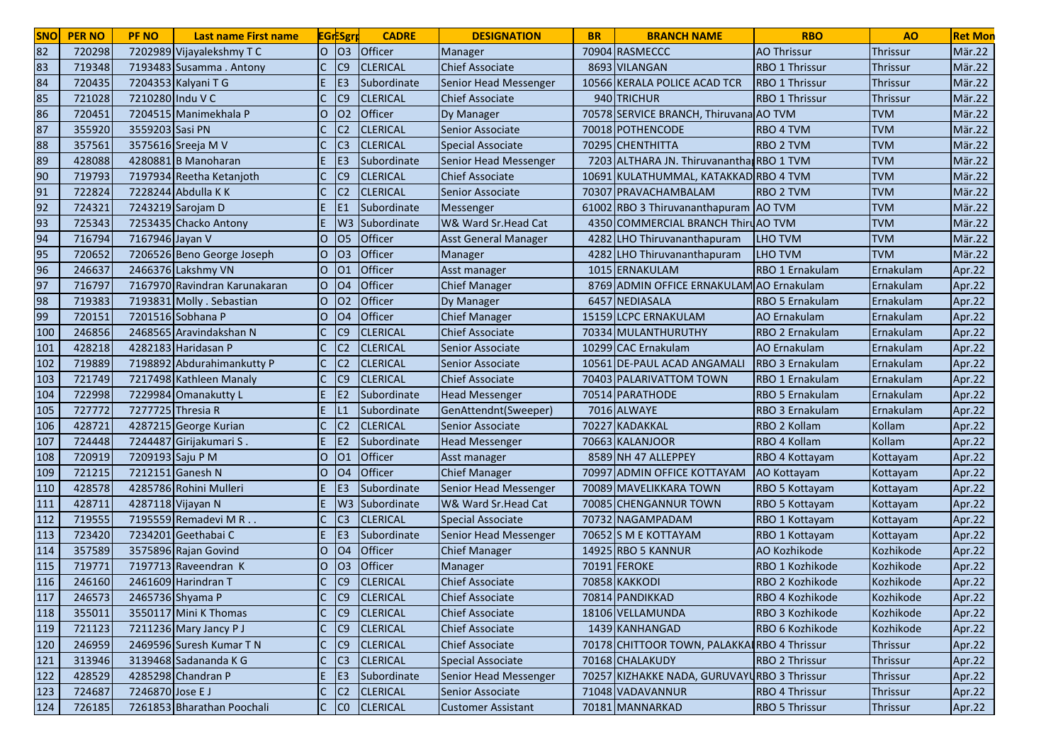| O <sub>3</sub><br>82<br>lo<br>Officer<br>720298<br>7202989 Vijayalekshmy TC<br>70904 RASMECCC<br><b>AO Thrissur</b><br><b>Manager</b><br><b>Thrissur</b><br>83<br>C <sub>9</sub><br>719348<br><b>CLERICAL</b><br><b>Chief Associate</b><br>8693 VILANGAN<br>RBO 1 Thrissur<br>7193483 Susamma . Antony<br>Thrissur<br>84<br>7204353 Kalyani T G<br>E <sub>3</sub><br>10566 KERALA POLICE ACAD TCR<br>720435<br>Subordinate<br>Senior Head Messenger<br><b>RBO 1 Thrissur</b><br>Thrissur<br>85<br>C <sub>9</sub><br>721028<br>7210280 Indu V C<br><b>CLERICAL</b><br>940 TRICHUR<br><b>RBO 1 Thrissur</b><br>Thrissur<br><b>Chief Associate</b><br>86<br>Officer<br>720451<br>7204515 Manimekhala P<br>$\overline{O}$<br>O <sub>2</sub><br>70578 SERVICE BRANCH, Thiruvana AO TVM<br><b>TVM</b><br>Dy Manager<br>87<br><b>CLERICAL</b><br><b>TVM</b><br>355920<br>3559203 Sasi PN<br>C <sub>2</sub><br>Senior Associate<br>70018 POTHENCODE<br><b>RBO 4 TVM</b><br>88<br><b>CLERICAL</b><br><b>TVM</b><br>357561<br>3575616 Sreeja M V<br>C <sub>3</sub><br><b>Special Associate</b><br>70295 CHENTHITTA<br><b>RBO 2 TVM</b><br>89<br>7203 ALTHARA JN. Thiruvanantha RBO 1 TVM<br><b>TVM</b><br>428088<br>4280881 B Manoharan<br>E <sub>3</sub><br>Subordinate<br>Senior Head Messenger | Mär.22<br>Mär.22<br>Mär.22<br>Mär.22<br>Mär.22<br>Mär.22<br>Mär.22<br>Mär.22<br>Mär.22<br>Mär.22<br>Mär.22<br>Mär.22<br>Mär.22 |
|-----------------------------------------------------------------------------------------------------------------------------------------------------------------------------------------------------------------------------------------------------------------------------------------------------------------------------------------------------------------------------------------------------------------------------------------------------------------------------------------------------------------------------------------------------------------------------------------------------------------------------------------------------------------------------------------------------------------------------------------------------------------------------------------------------------------------------------------------------------------------------------------------------------------------------------------------------------------------------------------------------------------------------------------------------------------------------------------------------------------------------------------------------------------------------------------------------------------------------------------------------------------------------------------|--------------------------------------------------------------------------------------------------------------------------------|
|                                                                                                                                                                                                                                                                                                                                                                                                                                                                                                                                                                                                                                                                                                                                                                                                                                                                                                                                                                                                                                                                                                                                                                                                                                                                                         |                                                                                                                                |
|                                                                                                                                                                                                                                                                                                                                                                                                                                                                                                                                                                                                                                                                                                                                                                                                                                                                                                                                                                                                                                                                                                                                                                                                                                                                                         |                                                                                                                                |
|                                                                                                                                                                                                                                                                                                                                                                                                                                                                                                                                                                                                                                                                                                                                                                                                                                                                                                                                                                                                                                                                                                                                                                                                                                                                                         |                                                                                                                                |
|                                                                                                                                                                                                                                                                                                                                                                                                                                                                                                                                                                                                                                                                                                                                                                                                                                                                                                                                                                                                                                                                                                                                                                                                                                                                                         |                                                                                                                                |
|                                                                                                                                                                                                                                                                                                                                                                                                                                                                                                                                                                                                                                                                                                                                                                                                                                                                                                                                                                                                                                                                                                                                                                                                                                                                                         |                                                                                                                                |
|                                                                                                                                                                                                                                                                                                                                                                                                                                                                                                                                                                                                                                                                                                                                                                                                                                                                                                                                                                                                                                                                                                                                                                                                                                                                                         |                                                                                                                                |
|                                                                                                                                                                                                                                                                                                                                                                                                                                                                                                                                                                                                                                                                                                                                                                                                                                                                                                                                                                                                                                                                                                                                                                                                                                                                                         |                                                                                                                                |
|                                                                                                                                                                                                                                                                                                                                                                                                                                                                                                                                                                                                                                                                                                                                                                                                                                                                                                                                                                                                                                                                                                                                                                                                                                                                                         |                                                                                                                                |
| 90<br>$\mathsf{C}$<br>C <sub>9</sub><br><b>Chief Associate</b><br><b>TVM</b><br>719793<br>7197934 Reetha Ketanjoth<br><b>CLERICAL</b><br>10691 KULATHUMMAL, KATAKKAD RBO 4 TVM                                                                                                                                                                                                                                                                                                                                                                                                                                                                                                                                                                                                                                                                                                                                                                                                                                                                                                                                                                                                                                                                                                          |                                                                                                                                |
| <b>TVM</b><br>91<br>722824<br>7228244 Abdulla K K<br>IC <sub>2</sub><br><b>CLERICAL</b><br>70307 PRAVACHAMBALAM<br><b>RBO 2 TVM</b><br>Senior Associate                                                                                                                                                                                                                                                                                                                                                                                                                                                                                                                                                                                                                                                                                                                                                                                                                                                                                                                                                                                                                                                                                                                                 |                                                                                                                                |
| 92<br><b>TVM</b><br>7243219 Sarojam D<br>61002 RBO 3 Thiruvananthapuram AO TVM<br>724321<br>E.<br>E <sub>1</sub><br>Subordinate<br>Messenger                                                                                                                                                                                                                                                                                                                                                                                                                                                                                                                                                                                                                                                                                                                                                                                                                                                                                                                                                                                                                                                                                                                                            |                                                                                                                                |
| 93<br><b>TVM</b><br>725343<br>7253435 Chacko Antony<br>E.<br>W3 Subordinate<br>W& Ward Sr.Head Cat<br>4350 COMMERCIAL BRANCH Thiru AO TVM                                                                                                                                                                                                                                                                                                                                                                                                                                                                                                                                                                                                                                                                                                                                                                                                                                                                                                                                                                                                                                                                                                                                               |                                                                                                                                |
| 94<br>Officer<br><b>TVM</b><br>716794<br>7167946 Jayan V<br>O<br><b>O5</b><br>4282 LHO Thiruvananthapuram<br><b>LHO TVM</b><br><b>Asst General Manager</b>                                                                                                                                                                                                                                                                                                                                                                                                                                                                                                                                                                                                                                                                                                                                                                                                                                                                                                                                                                                                                                                                                                                              |                                                                                                                                |
| 95<br><b>TVM</b><br>O <sub>3</sub><br>Officer<br>720652<br>7206526 Beno George Joseph<br>lO.<br>Manager<br>4282<br><b>LHO TVM</b><br><b>LHO</b> Thiruvananthapuram                                                                                                                                                                                                                                                                                                                                                                                                                                                                                                                                                                                                                                                                                                                                                                                                                                                                                                                                                                                                                                                                                                                      | Mär.22                                                                                                                         |
| 96<br>Officer<br>246637<br>2466376 Lakshmy VN<br>IО<br>1015 ERNAKULAM<br>RBO 1 Ernakulam<br>O <sub>1</sub><br>Asst manager<br>Ernakulam                                                                                                                                                                                                                                                                                                                                                                                                                                                                                                                                                                                                                                                                                                                                                                                                                                                                                                                                                                                                                                                                                                                                                 | Apr.22                                                                                                                         |
| 97<br>lo<br>Officer<br>716797<br>7167970 Ravindran Karunakaran<br><b>O4</b><br><b>Chief Manager</b><br>8769 ADMIN OFFICE ERNAKULAM AO Ernakulam<br>Ernakulam                                                                                                                                                                                                                                                                                                                                                                                                                                                                                                                                                                                                                                                                                                                                                                                                                                                                                                                                                                                                                                                                                                                            | Apr.22                                                                                                                         |
| 98<br>$\overline{O}$<br>Officer<br>719383<br>7193831 Molly . Sebastian<br>02<br>6457 NEDIASALA<br><b>RBO 5 Ernakulam</b><br>Ernakulam<br>Dy Manager                                                                                                                                                                                                                                                                                                                                                                                                                                                                                                                                                                                                                                                                                                                                                                                                                                                                                                                                                                                                                                                                                                                                     | Apr.22                                                                                                                         |
| 99<br>O <sub>4</sub><br>Officer<br>720151<br>7201516 Sobhana P<br>O<br><b>Chief Manager</b><br>15159 LCPC ERNAKULAM<br><b>AO Ernakulam</b><br>Ernakulam                                                                                                                                                                                                                                                                                                                                                                                                                                                                                                                                                                                                                                                                                                                                                                                                                                                                                                                                                                                                                                                                                                                                 | Apr.22                                                                                                                         |
| 100<br>246856<br>C <sub>9</sub><br><b>CLERICAL</b><br>2468565 Aravindakshan N<br>Chief Associate<br>70334 MULANTHURUTHY<br>RBO 2 Ernakulam<br>Ernakulam                                                                                                                                                                                                                                                                                                                                                                                                                                                                                                                                                                                                                                                                                                                                                                                                                                                                                                                                                                                                                                                                                                                                 | Apr.22                                                                                                                         |
| 101<br>428218<br>4282183 Haridasan P<br><b>CLERICAL</b><br>10299 CAC Ernakulam<br>C <sub>2</sub><br>Senior Associate<br>AO Ernakulam<br>Ernakulam                                                                                                                                                                                                                                                                                                                                                                                                                                                                                                                                                                                                                                                                                                                                                                                                                                                                                                                                                                                                                                                                                                                                       | Apr.22                                                                                                                         |
| 102<br>719889<br>7198892 Abdurahimankutty P<br>C <sub>2</sub><br><b>CLERICAL</b><br>10561 DE-PAUL ACAD ANGAMALI<br>RBO 3 Ernakulam<br>Ernakulam<br>Senior Associate                                                                                                                                                                                                                                                                                                                                                                                                                                                                                                                                                                                                                                                                                                                                                                                                                                                                                                                                                                                                                                                                                                                     | Apr.22                                                                                                                         |
| 103<br>721749<br>7217498 Kathleen Manaly<br>C9<br><b>CLERICAL</b><br><b>Chief Associate</b><br>70403 PALARIVATTOM TOWN<br>RBO 1 Ernakulam<br>Ernakulam                                                                                                                                                                                                                                                                                                                                                                                                                                                                                                                                                                                                                                                                                                                                                                                                                                                                                                                                                                                                                                                                                                                                  | Apr.22                                                                                                                         |
| 104<br>722998<br>7229984 Omanakutty L<br><b>E2</b><br>Subordinate<br><b>Head Messenger</b><br>70514 PARATHODE<br><b>RBO 5 Ernakulam</b><br>Ernakulam                                                                                                                                                                                                                                                                                                                                                                                                                                                                                                                                                                                                                                                                                                                                                                                                                                                                                                                                                                                                                                                                                                                                    | Apr.22                                                                                                                         |
| 105<br>727772<br>7277725 Thresia R<br>E<br>7016 ALWAYE<br>RBO 3 Ernakulam<br>Ernakulam<br>Subordinate<br>GenAttendnt(Sweeper)<br>L1                                                                                                                                                                                                                                                                                                                                                                                                                                                                                                                                                                                                                                                                                                                                                                                                                                                                                                                                                                                                                                                                                                                                                     | Apr.22                                                                                                                         |
| 106<br>428721<br>4287215 George Kurian<br>$\mathsf{C}$<br>C <sub>2</sub><br><b>CLERICAL</b><br><b>KADAKKAL</b><br>RBO 2 Kollam<br>Kollam<br>Senior Associate<br>70227                                                                                                                                                                                                                                                                                                                                                                                                                                                                                                                                                                                                                                                                                                                                                                                                                                                                                                                                                                                                                                                                                                                   | Apr.22                                                                                                                         |
| 107<br>7244487 Girijakumari S.<br>E.<br>Kollam<br>724448<br>Subordinate<br>70663 KALANJOOR<br>RBO 4 Kollam<br>E <sub>2</sub><br><b>Head Messenger</b>                                                                                                                                                                                                                                                                                                                                                                                                                                                                                                                                                                                                                                                                                                                                                                                                                                                                                                                                                                                                                                                                                                                                   | Apr.22                                                                                                                         |
| Officer<br>108<br>720919<br>7209193 Saju P M<br>lO.<br>Asst manager<br>8589 NH 47 ALLEPPEY<br>01<br>RBO 4 Kottayam<br>Kottayam                                                                                                                                                                                                                                                                                                                                                                                                                                                                                                                                                                                                                                                                                                                                                                                                                                                                                                                                                                                                                                                                                                                                                          | Apr.22                                                                                                                         |
| 109<br>Officer<br>721215<br>7212151 Ganesh N<br><b>Chief Manager</b><br>70997 ADMIN OFFICE KOTTAYAM<br>IО<br>O <sub>4</sub><br>AO Kottayam<br>Kottayam                                                                                                                                                                                                                                                                                                                                                                                                                                                                                                                                                                                                                                                                                                                                                                                                                                                                                                                                                                                                                                                                                                                                  | Apr.22                                                                                                                         |
| 110<br>428578<br>4285786 Rohini Mulleri<br>Subordinate<br>Senior Head Messenger<br>70089 MAVELIKKARA TOWN<br>E <sub>3</sub><br>RBO 5 Kottayam<br>Kottayam                                                                                                                                                                                                                                                                                                                                                                                                                                                                                                                                                                                                                                                                                                                                                                                                                                                                                                                                                                                                                                                                                                                               | Apr.22                                                                                                                         |
| 111<br>428711<br>4287118 Vijayan N<br>E.<br>W3 Subordinate<br>W& Ward Sr.Head Cat<br>70085 CHENGANNUR TOWN<br>RBO 5 Kottayam<br>Kottayam                                                                                                                                                                                                                                                                                                                                                                                                                                                                                                                                                                                                                                                                                                                                                                                                                                                                                                                                                                                                                                                                                                                                                | Apr.22                                                                                                                         |
| 112<br>719555<br><b>CLERICAL</b><br>7195559 Remadevi M R<br>C <sub>3</sub><br>70732 NAGAMPADAM<br><b>Special Associate</b><br>RBO 1 Kottayam<br>Kottayam                                                                                                                                                                                                                                                                                                                                                                                                                                                                                                                                                                                                                                                                                                                                                                                                                                                                                                                                                                                                                                                                                                                                | Apr.22                                                                                                                         |
| 113<br>723420<br>7234201 Geethabai C<br>E <sub>3</sub><br>Subordinate<br>Senior Head Messenger<br>70652 S M E KOTTAYAM<br>RBO 1 Kottayam<br>Kottayam                                                                                                                                                                                                                                                                                                                                                                                                                                                                                                                                                                                                                                                                                                                                                                                                                                                                                                                                                                                                                                                                                                                                    | Apr.22                                                                                                                         |
| 114<br>3575896 Rajan Govind<br>O <sub>4</sub><br>Officer<br>357589<br>lO.<br><b>Chief Manager</b><br><b>14925 RBO 5 KANNUR</b><br>AO Kozhikode<br>Kozhikode                                                                                                                                                                                                                                                                                                                                                                                                                                                                                                                                                                                                                                                                                                                                                                                                                                                                                                                                                                                                                                                                                                                             | Apr.22                                                                                                                         |
| Officer<br>115<br>7197713 Raveendran K<br>70191 FEROKE<br>719771<br>O<br>O <sub>3</sub><br>RBO 1 Kozhikode<br>Kozhikode<br>Manager                                                                                                                                                                                                                                                                                                                                                                                                                                                                                                                                                                                                                                                                                                                                                                                                                                                                                                                                                                                                                                                                                                                                                      | Apr.22                                                                                                                         |
| 116<br>C <sub>9</sub><br>246160<br>2461609 Harindran T<br><b>CLERICAL</b><br><b>Chief Associate</b><br>70858 KAKKODI<br>RBO 2 Kozhikode<br>Kozhikode                                                                                                                                                                                                                                                                                                                                                                                                                                                                                                                                                                                                                                                                                                                                                                                                                                                                                                                                                                                                                                                                                                                                    | Apr.22                                                                                                                         |
| 117<br>246573<br>2465736 Shyama P<br>IC9<br><b>CLERICAL</b><br><b>Chief Associate</b><br>70814 PANDIKKAD<br>RBO 4 Kozhikode<br>Kozhikode                                                                                                                                                                                                                                                                                                                                                                                                                                                                                                                                                                                                                                                                                                                                                                                                                                                                                                                                                                                                                                                                                                                                                | Apr.22                                                                                                                         |
| $\mathsf{C}$<br> C9 <br>118<br>355011<br>3550117 Mini K Thomas<br><b>CLERICAL</b><br>18106 VELLAMUNDA<br>RBO 3 Kozhikode<br>Kozhikode<br><b>Chief Associate</b>                                                                                                                                                                                                                                                                                                                                                                                                                                                                                                                                                                                                                                                                                                                                                                                                                                                                                                                                                                                                                                                                                                                         | Apr.22                                                                                                                         |
| $\mathsf{C}$<br>C <sub>9</sub><br>1439 KANHANGAD<br>119<br>721123<br>7211236 Mary Jancy P J<br><b>CLERICAL</b><br><b>Chief Associate</b><br>RBO 6 Kozhikode<br>Kozhikode                                                                                                                                                                                                                                                                                                                                                                                                                                                                                                                                                                                                                                                                                                                                                                                                                                                                                                                                                                                                                                                                                                                | Apr.22                                                                                                                         |
| 120<br>246959<br>2469596 Suresh Kumar T N<br>$\mathsf{C}$<br>C <sub>9</sub><br>70178 CHITTOOR TOWN, PALAKKAIRBO 4 Thrissur<br><b>CLERICAL</b><br><b>Chief Associate</b><br><b>Thrissur</b>                                                                                                                                                                                                                                                                                                                                                                                                                                                                                                                                                                                                                                                                                                                                                                                                                                                                                                                                                                                                                                                                                              | Apr.22                                                                                                                         |
| 121<br>3139468 Sadananda K G<br>$\mathsf{C}$<br>70168 CHALAKUDY<br>313946<br>C <sub>3</sub><br><b>CLERICAL</b><br><b>Special Associate</b><br>RBO 2 Thrissur<br><b>Thrissur</b>                                                                                                                                                                                                                                                                                                                                                                                                                                                                                                                                                                                                                                                                                                                                                                                                                                                                                                                                                                                                                                                                                                         | Apr.22                                                                                                                         |
| 122<br>4285298 Chandran P<br>E.<br>428529<br>E <sub>3</sub><br>Subordinate<br>Senior Head Messenger<br>70257 KIZHAKKE NADA, GURUVAYURBO 3 Thrissur<br><b>Thrissur</b>                                                                                                                                                                                                                                                                                                                                                                                                                                                                                                                                                                                                                                                                                                                                                                                                                                                                                                                                                                                                                                                                                                                   | Apr.22                                                                                                                         |
| 123<br>7246870 Jose E J<br>$\mathsf{C}$<br>71048 VADAVANNUR<br>724687<br> C2 <br><b>CLERICAL</b><br>RBO 4 Thrissur<br>Senior Associate<br>Thrissur                                                                                                                                                                                                                                                                                                                                                                                                                                                                                                                                                                                                                                                                                                                                                                                                                                                                                                                                                                                                                                                                                                                                      | Apr.22                                                                                                                         |
| 124<br>726185<br>7261853 Bharathan Poochali<br> C CO<br><b>CLERICAL</b><br>70181 MANNARKAD<br><b>RBO 5 Thrissur</b><br><b>Customer Assistant</b><br>Thrissur                                                                                                                                                                                                                                                                                                                                                                                                                                                                                                                                                                                                                                                                                                                                                                                                                                                                                                                                                                                                                                                                                                                            | Apr.22                                                                                                                         |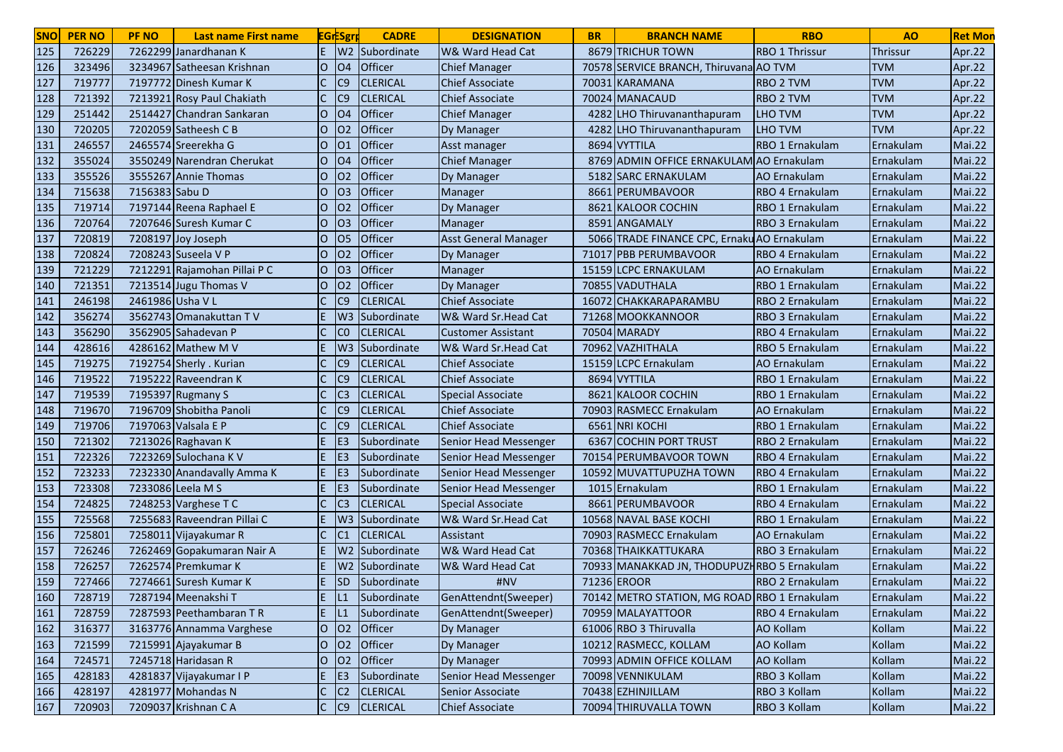| <b>SNO</b> | <b>PER NO</b> | <b>PF NO</b>     | Last name First name         |                | <b>EGrESgr</b>  | <b>CADRE</b>       | <b>DESIGNATION</b>          | <b>BR</b> | <b>BRANCH NAME</b>                           | <b>RBO</b>            | A <sub>O</sub>  | <b>Ret Mon</b> |
|------------|---------------|------------------|------------------------------|----------------|-----------------|--------------------|-----------------------------|-----------|----------------------------------------------|-----------------------|-----------------|----------------|
| 125        | 726229        |                  | 7262299 Janardhanan K        | E.             | W <sub>2</sub>  | Subordinate        | W& Ward Head Cat            |           | 8679 TRICHUR TOWN                            | <b>RBO 1 Thrissur</b> | <b>Thrissur</b> | Apr.22         |
| 126        | 323496        |                  | 3234967 Satheesan Krishnan   | lO.            | O <sub>4</sub>  | Officer            | <b>Chief Manager</b>        |           | 70578 SERVICE BRANCH, Thiruvana AO TVM       |                       | <b>TVM</b>      | Apr.22         |
| 127        | 719777        |                  | 7197772 Dinesh Kumar K       |                | C <sub>9</sub>  | <b>CLERICAL</b>    | Chief Associate             |           | 70031 KARAMANA                               | RBO 2 TVM             | <b>TVM</b>      | Apr.22         |
| 128        | 721392        |                  | 7213921 Rosy Paul Chakiath   |                | C <sub>9</sub>  | <b>CLERICAL</b>    | <b>Chief Associate</b>      |           | 70024 MANACAUD                               | <b>RBO 2 TVM</b>      | <b>TVM</b>      | Apr.22         |
| 129        | 251442        |                  | 2514427 Chandran Sankaran    | $\overline{O}$ | <b>O4</b>       | Officer            | <b>Chief Manager</b>        |           | 4282 LHO Thiruvananthapuram                  | <b>LHO TVM</b>        | <b>TVM</b>      | Apr.22         |
| 130        | 720205        |                  | 7202059 Satheesh C B         | $\circ$        | 02              | Officer            | Dy Manager                  | 4282      | LHO Thiruvananthapuram                       | <b>LHO TVM</b>        | <b>TVM</b>      | Apr.22         |
| 131        | 246557        |                  | 2465574 Sreerekha G          | lO.            | 01              | Officer            | Asst manager                |           | 8694 VYTTILA                                 | RBO 1 Ernakulam       | Ernakulam       | Mai.22         |
| 132        | 355024        |                  | 3550249 Narendran Cherukat   | lO.            | <b>O4</b>       | Officer            | <b>Chief Manager</b>        |           | 8769 ADMIN OFFICE ERNAKULAM AO Ernakulam     |                       | Ernakulam       | Mai.22         |
| 133        | 355526        |                  | 3555267 Annie Thomas         | lO.            | 02              | Officer            | Dy Manager                  | 5182      | <b>SARC ERNAKULAM</b>                        | AO Ernakulam          | Ernakulam       | <b>Mai.22</b>  |
| 134        | 715638        | 7156383 Sabu D   |                              | lO.            | O <sub>3</sub>  | Officer            | Manager                     |           | 8661 PERUMBAVOOR                             | RBO 4 Ernakulam       | Ernakulam       | Mai.22         |
| 135        | 719714        |                  | 7197144 Reena Raphael E      | IО             | O <sub>2</sub>  | <b>Officer</b>     | Dy Manager                  |           | 8621 KALOOR COCHIN                           | RBO 1 Ernakulam       | Ernakulam       | Mai.22         |
| 136        | 720764        |                  | 7207646 Suresh Kumar C       | O              | O <sub>3</sub>  | <b>Officer</b>     | Manager                     |           | 8591 ANGAMALY                                | RBO 3 Ernakulam       | Ernakulam       | <b>Mai.22</b>  |
| 137        | 720819        |                  | 7208197 Joy Joseph           | $\overline{O}$ | <b>O5</b>       | Officer            | <b>Asst General Manager</b> |           | 5066 TRADE FINANCE CPC, Ernaku AO Ernakulam  |                       | Ernakulam       | Mai.22         |
| 138        | 720824        |                  | 7208243 Suseela V P          | lO.            | O <sub>2</sub>  | Officer            | Dy Manager                  |           | 71017 PBB PERUMBAVOOR                        | RBO 4 Ernakulam       | Ernakulam       | Mai.22         |
| 139        | 721229        |                  | 7212291 Rajamohan Pillai P C | lO.            | O <sub>3</sub>  | Officer            | Manager                     |           | 15159 LCPC ERNAKULAM                         | AO Ernakulam          | Ernakulam       | <b>Mai.22</b>  |
| 140        | 721351        |                  | 7213514 Jugu Thomas V        | O              | O <sub>2</sub>  | Officer            | Dy Manager                  |           | 70855 VADUTHALA                              | RBO 1 Ernakulam       | Ernakulam       | <b>Mai.22</b>  |
| 141        | 246198        | 2461986 Usha V L |                              |                | C <sub>9</sub>  | <b>CLERICAL</b>    | <b>Chief Associate</b>      |           | 16072 CHAKKARAPARAMBU                        | RBO 2 Ernakulam       | Ernakulam       | <b>Mai.22</b>  |
| 142        | 356274        |                  | 3562743 Omanakuttan TV       | F              | W <sub>3</sub>  | Subordinate        | W& Ward Sr.Head Cat         |           | 71268 MOOKKANNOOR                            | RBO 3 Ernakulam       | Ernakulam       | <b>Mai.22</b>  |
| 143        | 356290        |                  | 3562905 Sahadevan P          |                | CO              | <b>CLERICAL</b>    | Customer Assistant          |           | 70504 MARADY                                 | RBO 4 Ernakulam       | Ernakulam       | Mai.22         |
| 144        | 428616        |                  | 4286162 Mathew M V           |                | W <sub>3</sub>  | <b>Subordinate</b> | W& Ward Sr.Head Cat         |           | 70962 VAZHITHALA                             | RBO 5 Ernakulam       | Ernakulam       | <b>Mai.22</b>  |
| 145        | 719275        |                  | 7192754 Sherly . Kurian      |                | C <sub>9</sub>  | <b>CLERICAL</b>    | <b>Chief Associate</b>      |           | 15159 LCPC Ernakulam                         | <b>AO Ernakulam</b>   | Ernakulam       | <b>Mai.22</b>  |
| 146        | 719522        |                  | 7195222 Raveendran K         |                | C <sub>9</sub>  | <b>CLERICAL</b>    | <b>Chief Associate</b>      |           | 8694 VYTTILA                                 | RBO 1 Ernakulam       | Ernakulam       | Mai.22         |
| 147        | 719539        |                  | 7195397 Rugmany S            |                | C <sub>3</sub>  | <b>CLERICAL</b>    | <b>Special Associate</b>    | 8621      | <b>KALOOR COCHIN</b>                         | RBO 1 Ernakulam       | Ernakulam       | Mai.22         |
| 148        | 719670        |                  | 7196709 Shobitha Panoli      |                | C <sub>9</sub>  | <b>CLERICAL</b>    | <b>Chief Associate</b>      |           | 70903 RASMECC Ernakulam                      | <b>AO</b> Ernakulam   | Ernakulam       | Mai.22         |
| 149        | 719706        |                  | 7197063 Valsala E P          | $\mathsf{C}$   | C <sub>9</sub>  | <b>CLERICAL</b>    | <b>Chief Associate</b>      |           | 6561 NRI KOCHI                               | RBO 1 Ernakulam       | Ernakulam       | Mai.22         |
| 150        | 721302        |                  | 7213026 Raghavan K           | E.             | E <sub>3</sub>  | Subordinate        | Senior Head Messenger       | 6367      | <b>COCHIN PORT TRUST</b>                     | RBO 2 Ernakulam       | Ernakulam       | <b>Mai.22</b>  |
| 151        | 722326        |                  | 7223269 Sulochana K V        | E.             | E <sub>3</sub>  | Subordinate        | Senior Head Messenger       |           | 70154 PERUMBAVOOR TOWN                       | RBO 4 Ernakulam       | Ernakulam       | Mai.22         |
| 152        | 723233        |                  | 7232330 Anandavally Amma K   | IE.            | IE <sub>3</sub> | Subordinate        | Senior Head Messenger       |           | 10592 MUVATTUPUZHA TOWN                      | RBO 4 Ernakulam       | Ernakulam       | <b>Mai.22</b>  |
| 153        | 723308        |                  | 7233086 Leela M S            | E              | E <sub>3</sub>  | Subordinate        | Senior Head Messenger       |           | 1015 Ernakulam                               | RBO 1 Ernakulam       | Ernakulam       | <b>Mai.22</b>  |
| 154        | 724825        |                  | 7248253 Varghese T C         |                | C <sub>3</sub>  | <b>CLERICAL</b>    | <b>Special Associate</b>    |           | 8661 PERUMBAVOOR                             | RBO 4 Ernakulam       | Ernakulam       | <b>Mai.22</b>  |
| 155        | 725568        |                  | 7255683 Raveendran Pillai C  | E.             |                 | W3 Subordinate     | W& Ward Sr.Head Cat         |           | 10568 NAVAL BASE KOCHI                       | RBO 1 Ernakulam       | Ernakulam       | <b>Mai.22</b>  |
| 156        | 725801        |                  | 7258011 Vijayakumar R        |                | C <sub>1</sub>  | <b>CLERICAL</b>    | Assistant                   |           | 70903 RASMECC Ernakulam                      | <b>AO</b> Ernakulam   | Ernakulam       | <b>Mai.22</b>  |
| 157        | 726246        |                  | 7262469 Gopakumaran Nair A   |                | W <sub>2</sub>  | Subordinate        | W& Ward Head Cat            |           | 70368 THAIKKATTUKARA                         | RBO 3 Ernakulam       | Ernakulam       | <b>Mai.22</b>  |
| 158        | 726257        |                  | 7262574 Premkumar K          |                | W2              | Subordinate        | W& Ward Head Cat            |           | 70933 MANAKKAD JN, THODUPUZHRBO 5 Ernakulam  |                       | Ernakulam       | <b>Mai.22</b>  |
| 159        | 727466        |                  | 7274661 Suresh Kumar K       |                | <b>SD</b>       | Subordinate        | #NV                         |           | 71236 EROOR                                  | RBO 2 Ernakulam       | Ernakulam       | Mai.22         |
| 160        | 728719        |                  | 7287194 Meenakshi T          | IE.            | L1              | Subordinate        | GenAttendnt(Sweeper)        |           | 70142 METRO STATION, MG ROAD RBO 1 Ernakulam |                       | Ernakulam       | Mai.22         |
| 161        | 728759        |                  | 7287593 Peethambaran TR      | E              | IL <sub>1</sub> | Subordinate        | GenAttendnt(Sweeper)        |           | 70959 MALAYATTOOR                            | RBO 4 Ernakulam       | Ernakulam       | <b>Mai.22</b>  |
| 162        | 316377        |                  | 3163776 Annamma Varghese     | lo             | 02              | Officer            | Dy Manager                  |           | 61006 RBO 3 Thiruvalla                       | AO Kollam             | Kollam          | <b>Mai.22</b>  |
| 163        | 721599        |                  | 7215991 Ajayakumar B         | lo             | 02              | Officer            | Dy Manager                  |           | 10212 RASMECC, KOLLAM                        | <b>AO Kollam</b>      | Kollam          | <b>Mai.22</b>  |
| 164        | 724571        |                  | 7245718 Haridasan R          | lo             | 02              | Officer            | Dy Manager                  |           | 70993 ADMIN OFFICE KOLLAM                    | <b>AO Kollam</b>      | Kollam          | <b>Mai.22</b>  |
| 165        | 428183        |                  | 4281837 Vijayakumar I P      | E.             | E <sub>3</sub>  | Subordinate        | Senior Head Messenger       |           | 70098 VENNIKULAM                             | RBO 3 Kollam          | Kollam          | <b>Mai.22</b>  |
| 166        | 428197        |                  | 4281977 Mohandas N           | $\mathsf{C}$   | C2              | <b>CLERICAL</b>    | Senior Associate            |           | 70438 EZHINJILLAM                            | RBO 3 Kollam          | Kollam          | <b>Mai.22</b>  |
| 167        | 720903        |                  | 7209037 Krishnan C A         |                | $ C $ $ C9 $    | <b>CLERICAL</b>    | <b>Chief Associate</b>      |           | 70094 THIRUVALLA TOWN                        | RBO 3 Kollam          | Kollam          | Mai.22         |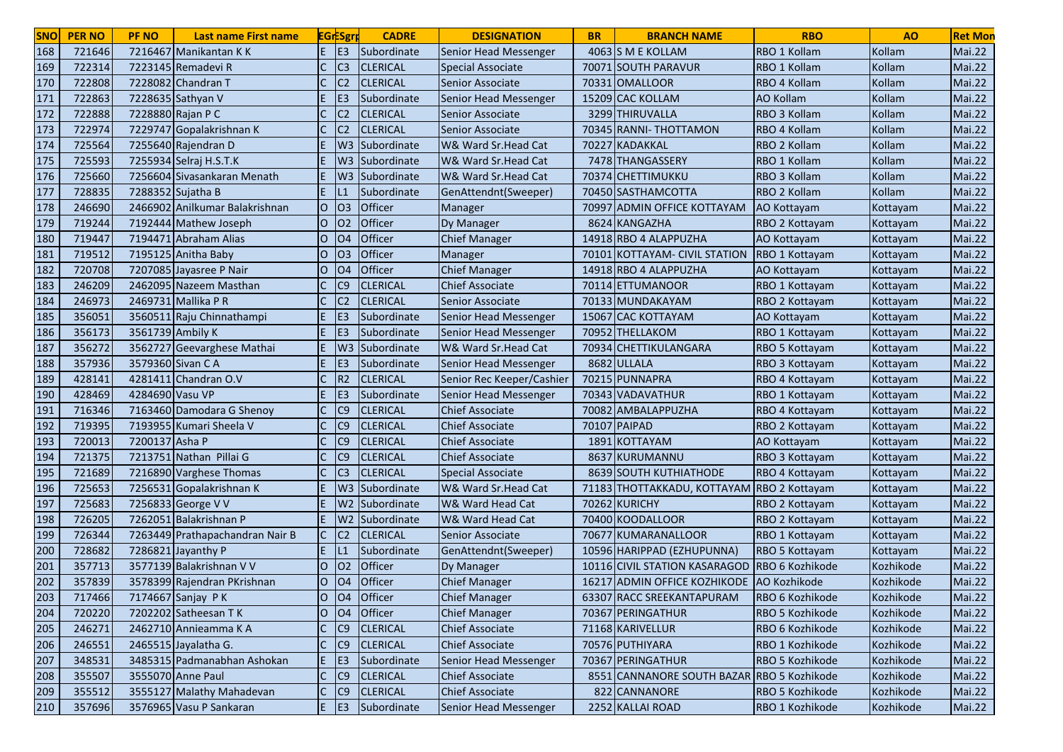| E.<br>E <sub>3</sub><br>168<br>721646<br>7216467 Manikantan KK<br>4063 S M E KOLLAM<br>RBO 1 Kollam<br>Kollam<br>Subordinate<br>Senior Head Messenger<br>169<br>C <sub>3</sub><br>722314<br>7223145 Remadevi R<br><b>CLERICAL</b><br>70071 SOUTH PARAVUR<br>Kollam<br>RBO 1 Kollam<br>Special Associate<br>7228082 Chandran T<br>Kollam<br>170<br>722808<br>C <sub>2</sub><br><b>CLERICAL</b><br>Senior Associate<br>70331 OMALLOOR<br>RBO 4 Kollam<br>171<br>722863<br>7228635 Sathyan V<br>E <sub>3</sub><br>15209 CAC KOLLAM<br><b>AO Kollam</b><br>Kollam<br>Subordinate<br>Senior Head Messenger<br>172<br>722888<br>7228880 Rajan P C<br><b>CLERICAL</b><br>3299 THIRUVALLA<br>RBO 3 Kollam<br>C <sub>2</sub><br>Kollam<br>Senior Associate<br>173<br>722974<br>7229747 Gopalakrishnan K<br>C <sub>2</sub><br><b>CLERICAL</b><br>70345 RANNI- THOTTAMON<br>RBO 4 Kollam<br>Kollam<br>Senior Associate<br>174<br>725564<br>W3 Subordinate<br>W& Ward Sr.Head Cat<br><b>KADAKKAL</b><br>RBO 2 Kollam<br>Kollam<br>7255640 Rajendran D<br>70227 | <b>Mai.22</b><br><b>Mai.22</b><br><b>Mai.22</b><br><b>Mai.22</b><br>Mai.22<br>Mai.22<br>Mai.22<br>Mai.22<br>Mai.22<br>Mai.22<br>Mai.22<br>Mai.22 |
|----------------------------------------------------------------------------------------------------------------------------------------------------------------------------------------------------------------------------------------------------------------------------------------------------------------------------------------------------------------------------------------------------------------------------------------------------------------------------------------------------------------------------------------------------------------------------------------------------------------------------------------------------------------------------------------------------------------------------------------------------------------------------------------------------------------------------------------------------------------------------------------------------------------------------------------------------------------------------------------------------------------------------------------------------|--------------------------------------------------------------------------------------------------------------------------------------------------|
|                                                                                                                                                                                                                                                                                                                                                                                                                                                                                                                                                                                                                                                                                                                                                                                                                                                                                                                                                                                                                                                    |                                                                                                                                                  |
|                                                                                                                                                                                                                                                                                                                                                                                                                                                                                                                                                                                                                                                                                                                                                                                                                                                                                                                                                                                                                                                    |                                                                                                                                                  |
|                                                                                                                                                                                                                                                                                                                                                                                                                                                                                                                                                                                                                                                                                                                                                                                                                                                                                                                                                                                                                                                    |                                                                                                                                                  |
|                                                                                                                                                                                                                                                                                                                                                                                                                                                                                                                                                                                                                                                                                                                                                                                                                                                                                                                                                                                                                                                    |                                                                                                                                                  |
|                                                                                                                                                                                                                                                                                                                                                                                                                                                                                                                                                                                                                                                                                                                                                                                                                                                                                                                                                                                                                                                    |                                                                                                                                                  |
|                                                                                                                                                                                                                                                                                                                                                                                                                                                                                                                                                                                                                                                                                                                                                                                                                                                                                                                                                                                                                                                    |                                                                                                                                                  |
|                                                                                                                                                                                                                                                                                                                                                                                                                                                                                                                                                                                                                                                                                                                                                                                                                                                                                                                                                                                                                                                    |                                                                                                                                                  |
| 175<br>725593<br>7255934 Selraj H.S.T.K<br>W3 Subordinate<br>W& Ward Sr.Head Cat<br>7478 THANGASSERY<br>RBO 1 Kollam<br>Kollam                                                                                                                                                                                                                                                                                                                                                                                                                                                                                                                                                                                                                                                                                                                                                                                                                                                                                                                     |                                                                                                                                                  |
| 176<br>725660<br>7256604 Sivasankaran Menath<br>W& Ward Sr.Head Cat<br>RBO 3 Kollam<br>Kollam<br>W <sub>3</sub><br>Subordinate<br>70374 CHETTIMUKKU                                                                                                                                                                                                                                                                                                                                                                                                                                                                                                                                                                                                                                                                                                                                                                                                                                                                                                |                                                                                                                                                  |
| 177<br>Kollam<br>728835<br>7288352 Sujatha B<br>E.<br>Subordinate<br>GenAttendnt(Sweeper)<br>70450 SASTHAMCOTTA<br>RBO 2 Kollam<br>L1                                                                                                                                                                                                                                                                                                                                                                                                                                                                                                                                                                                                                                                                                                                                                                                                                                                                                                              |                                                                                                                                                  |
| 2466902 Anilkumar Balakrishnan<br>03<br><b>Officer</b><br>178<br>246690<br>IО<br>Manager<br>70997 ADMIN OFFICE KOTTAYAM<br>Kottayam<br>AO Kottayam                                                                                                                                                                                                                                                                                                                                                                                                                                                                                                                                                                                                                                                                                                                                                                                                                                                                                                 |                                                                                                                                                  |
| 179<br>719244<br>IО<br>O <sub>2</sub><br><b>Officer</b><br>7192444 Mathew Joseph<br>Dy Manager<br>8624 KANGAZHA<br>RBO 2 Kottayam<br>Kottayam                                                                                                                                                                                                                                                                                                                                                                                                                                                                                                                                                                                                                                                                                                                                                                                                                                                                                                      |                                                                                                                                                  |
| 180<br>Officer<br>719447<br>7194471 Abraham Alias<br>$\overline{O}$<br><b>O4</b><br><b>Chief Manager</b><br>14918 RBO 4 ALAPPUZHA<br>AO Kottayam<br>Kottayam                                                                                                                                                                                                                                                                                                                                                                                                                                                                                                                                                                                                                                                                                                                                                                                                                                                                                       | Mai.22                                                                                                                                           |
| 181<br>719512<br>Officer<br>7195125 Anitha Baby<br>O <sub>3</sub><br>$\circ$<br>Manager<br>70101 KOTTAYAM- CIVIL STATION<br>RBO 1 Kottayam<br>Kottayam                                                                                                                                                                                                                                                                                                                                                                                                                                                                                                                                                                                                                                                                                                                                                                                                                                                                                             | Mai.22                                                                                                                                           |
| 182<br>Officer<br>O <sub>4</sub><br><b>Chief Manager</b><br>14918 RBO 4 ALAPPUZHA<br>720708<br>7207085 Jayasree P Nair<br>lO.<br>AO Kottayam<br>Kottayam                                                                                                                                                                                                                                                                                                                                                                                                                                                                                                                                                                                                                                                                                                                                                                                                                                                                                           | <b>Mai.22</b>                                                                                                                                    |
| 183<br>246209<br>2462095 Nazeem Masthan<br>C9<br><b>CLERICAL</b><br><b>Chief Associate</b><br>70114 ETTUMANOOR<br>RBO 1 Kottayam<br>Kottayam                                                                                                                                                                                                                                                                                                                                                                                                                                                                                                                                                                                                                                                                                                                                                                                                                                                                                                       | Mai.22                                                                                                                                           |
| 184<br>246973<br>2469731 Mallika P R<br>С<br>C <sub>2</sub><br><b>CLERICAL</b><br>70133 MUNDAKAYAM<br>RBO 2 Kottayam<br>Senior Associate<br>Kottayam                                                                                                                                                                                                                                                                                                                                                                                                                                                                                                                                                                                                                                                                                                                                                                                                                                                                                               | Mai.22                                                                                                                                           |
| 185<br>356051<br>3560511 Raju Chinnathampi<br>E.<br>IE <sub>3</sub><br>Subordinate<br>15067 CAC KOTTAYAM<br>Senior Head Messenger<br>AO Kottayam<br>Kottayam                                                                                                                                                                                                                                                                                                                                                                                                                                                                                                                                                                                                                                                                                                                                                                                                                                                                                       | Mai.22                                                                                                                                           |
| 186<br>356173<br>E <sub>3</sub><br>3561739 Ambily K<br>E.<br>Subordinate<br>70952 THELLAKOM<br>Senior Head Messenger<br>RBO 1 Kottayam<br>Kottayam                                                                                                                                                                                                                                                                                                                                                                                                                                                                                                                                                                                                                                                                                                                                                                                                                                                                                                 | Mai.22                                                                                                                                           |
| 187<br>356272<br>3562727 Geevarghese Mathai<br>W <sub>3</sub><br>Subordinate<br>W& Ward Sr.Head Cat<br>70934 CHETTIKULANGARA<br>RBO 5 Kottayam<br>Kottayam                                                                                                                                                                                                                                                                                                                                                                                                                                                                                                                                                                                                                                                                                                                                                                                                                                                                                         | Mai.22                                                                                                                                           |
| 188<br>357936<br>3579360 Sivan C A<br>E <sub>3</sub><br>8682 ULLALA<br>Subordinate<br>Senior Head Messenger<br>RBO 3 Kottayam<br>Kottayam                                                                                                                                                                                                                                                                                                                                                                                                                                                                                                                                                                                                                                                                                                                                                                                                                                                                                                          | <b>Mai.22</b>                                                                                                                                    |
| 189<br>R <sub>2</sub><br>428141<br>4281411 Chandran O.V<br><b>CLERICAL</b><br>Senior Rec Keeper/Cashier<br>70215<br>PUNNAPRA<br>RBO 4 Kottayam<br>Kottayam                                                                                                                                                                                                                                                                                                                                                                                                                                                                                                                                                                                                                                                                                                                                                                                                                                                                                         | Mai.22                                                                                                                                           |
| 190<br>428469<br>4284690 Vasu VP<br>E <sub>3</sub><br>Subordinate<br>Senior Head Messenger<br>70343 VADAVATHUR<br>RBO 1 Kottayam<br>Kottayam                                                                                                                                                                                                                                                                                                                                                                                                                                                                                                                                                                                                                                                                                                                                                                                                                                                                                                       | Mai.22                                                                                                                                           |
| 191<br>C <sub>9</sub><br><b>Chief Associate</b><br>716346<br>7163460 Damodara G Shenoy<br><b>CLERICAL</b><br>70082 AMBALAPPUZHA<br>RBO 4 Kottayam<br>Kottayam                                                                                                                                                                                                                                                                                                                                                                                                                                                                                                                                                                                                                                                                                                                                                                                                                                                                                      | Mai.22                                                                                                                                           |
| 192<br>719395<br>$\mathsf{C}$<br>C <sub>9</sub><br><b>Chief Associate</b><br>70107 PAIPAD<br>7193955 Kumari Sheela V<br><b>CLERICAL</b><br>RBO 2 Kottayam<br>Kottayam                                                                                                                                                                                                                                                                                                                                                                                                                                                                                                                                                                                                                                                                                                                                                                                                                                                                              | Mai.22                                                                                                                                           |
| 193<br>7200137 Asha P<br>C<br>C <sub>9</sub><br>720013<br><b>CLERICAL</b><br><b>Chief Associate</b><br><b>KOTTAYAM</b><br>1891<br>AO Kottayam<br>Kottayam                                                                                                                                                                                                                                                                                                                                                                                                                                                                                                                                                                                                                                                                                                                                                                                                                                                                                          | Mai.22                                                                                                                                           |
| 194<br>721375<br>7213751 Nathan Pillai G<br>C <sub>9</sub><br>8637 KURUMANNU<br><b>CLERICAL</b><br><b>Chief Associate</b><br>RBO 3 Kottayam<br>Kottayam                                                                                                                                                                                                                                                                                                                                                                                                                                                                                                                                                                                                                                                                                                                                                                                                                                                                                            | Mai.22                                                                                                                                           |
| 195<br>721689<br>7216890 Varghese Thomas<br><b>CLERICAL</b><br>8639 SOUTH KUTHIATHODE<br>C <sub>3</sub><br>Special Associate<br>RBO 4 Kottayam<br>Kottayam                                                                                                                                                                                                                                                                                                                                                                                                                                                                                                                                                                                                                                                                                                                                                                                                                                                                                         | Mai.22                                                                                                                                           |
| 196<br>725653<br>7256531 Gopalakrishnan K<br>W& Ward Sr.Head Cat<br>71183 THOTTAKKADU, KOTTAYAM RBO 2 Kottayam<br>W3 Subordinate<br>Kottayam                                                                                                                                                                                                                                                                                                                                                                                                                                                                                                                                                                                                                                                                                                                                                                                                                                                                                                       | Mai.22                                                                                                                                           |
| 197<br>725683<br>7256833 George V V<br>W& Ward Head Cat<br>70262 KURICHY<br>W2 Subordinate<br>RBO 2 Kottayam<br>Kottayam                                                                                                                                                                                                                                                                                                                                                                                                                                                                                                                                                                                                                                                                                                                                                                                                                                                                                                                           | <b>Mai.22</b>                                                                                                                                    |
| 198<br>726205<br>7262051 Balakrishnan P<br>W2 Subordinate<br>W& Ward Head Cat<br>70400 KOODALLOOR<br>E.<br>RBO 2 Kottayam<br>Kottayam                                                                                                                                                                                                                                                                                                                                                                                                                                                                                                                                                                                                                                                                                                                                                                                                                                                                                                              | <b>Mai.22</b>                                                                                                                                    |
| 199<br>726344<br><b>CLERICAL</b><br>70677 KUMARANALLOOR<br>7263449 Prathapachandran Nair B<br>IC.<br>C <sub>2</sub><br>Senior Associate<br>RBO 1 Kottayam<br>Kottayam                                                                                                                                                                                                                                                                                                                                                                                                                                                                                                                                                                                                                                                                                                                                                                                                                                                                              | <b>Mai.22</b>                                                                                                                                    |
| 200<br>728682<br>7286821 Jayanthy P<br>E.<br>Subordinate<br>10596 HARIPPAD (EZHUPUNNA)<br>GenAttendnt(Sweeper)<br>RBO 5 Kottayam<br>Kottayam                                                                                                                                                                                                                                                                                                                                                                                                                                                                                                                                                                                                                                                                                                                                                                                                                                                                                                       | <b>Mai.22</b>                                                                                                                                    |
| 201<br>Officer<br>357713<br>3577139 Balakrishnan V V<br><b>O2</b><br>10116 CIVIL STATION KASARAGOD<br><b>RBO 6 Kozhikode</b><br>lO.<br>Kozhikode<br>Dy Manager                                                                                                                                                                                                                                                                                                                                                                                                                                                                                                                                                                                                                                                                                                                                                                                                                                                                                     | <b>Mai.22</b>                                                                                                                                    |
| Officer<br>202<br>357839<br><b>O4</b><br>16217 ADMIN OFFICE KOZHIKODE AO Kozhikode<br>3578399 Rajendran PKrishnan<br>lO.<br><b>Chief Manager</b><br>Kozhikode                                                                                                                                                                                                                                                                                                                                                                                                                                                                                                                                                                                                                                                                                                                                                                                                                                                                                      | <b>Mai.22</b>                                                                                                                                    |
| 717466<br>7174667 Sanjay PK<br>IО<br> 04 <br><b>Officer</b><br><b>Chief Manager</b><br>63307 RACC SREEKANTAPURAM<br><b>RBO 6 Kozhikode</b><br>Kozhikode<br>203                                                                                                                                                                                                                                                                                                                                                                                                                                                                                                                                                                                                                                                                                                                                                                                                                                                                                     | Mai.22                                                                                                                                           |
| lo<br>204<br>720220<br>7202202 Satheesan T K<br>$ 04\rangle$<br><b>Officer</b><br>70367 PERINGATHUR<br>RBO 5 Kozhikode<br>Kozhikode<br><b>Chief Manager</b>                                                                                                                                                                                                                                                                                                                                                                                                                                                                                                                                                                                                                                                                                                                                                                                                                                                                                        | <b>Mai.22</b>                                                                                                                                    |
| 205<br>2462710 Annieamma K A<br>$\mathsf{C}$<br>C9<br>71168 KARIVELLUR<br>246271<br><b>CLERICAL</b><br><b>Chief Associate</b><br>RBO 6 Kozhikode<br>Kozhikode                                                                                                                                                                                                                                                                                                                                                                                                                                                                                                                                                                                                                                                                                                                                                                                                                                                                                      | <b>Mai.22</b>                                                                                                                                    |
| 206<br>$\mathsf{C}$<br>C <sub>9</sub><br>70576 PUTHIYARA<br>246551<br>2465515 Jayalatha G.<br><b>CLERICAL</b><br><b>Chief Associate</b><br>RBO 1 Kozhikode<br>Kozhikode                                                                                                                                                                                                                                                                                                                                                                                                                                                                                                                                                                                                                                                                                                                                                                                                                                                                            | <b>Mai.22</b>                                                                                                                                    |
| 207<br>3485315 Padmanabhan Ashokan<br>IE.<br>E <sub>3</sub><br>70367 PERINGATHUR<br>348531<br>Subordinate<br>Senior Head Messenger<br>RBO 5 Kozhikode<br>Kozhikode                                                                                                                                                                                                                                                                                                                                                                                                                                                                                                                                                                                                                                                                                                                                                                                                                                                                                 | <b>Mai.22</b>                                                                                                                                    |
| $\mathsf{C}$<br>3555070 Anne Paul<br> C9 <br>208<br>355507<br><b>CLERICAL</b><br><b>Chief Associate</b><br>8551 CANNANORE SOUTH BAZAR RBO 5 Kozhikode<br>Kozhikode                                                                                                                                                                                                                                                                                                                                                                                                                                                                                                                                                                                                                                                                                                                                                                                                                                                                                 | <b>Mai.22</b>                                                                                                                                    |
| $\mathsf{C}$<br>3555127 Malathy Mahadevan<br> C9 <br>822 CANNANORE<br>209<br>355512<br><b>CLERICAL</b><br><b>Chief Associate</b><br>RBO 5 Kozhikode<br>Kozhikode                                                                                                                                                                                                                                                                                                                                                                                                                                                                                                                                                                                                                                                                                                                                                                                                                                                                                   | <b>Mai.22</b>                                                                                                                                    |
| 210<br>357696<br>3576965 Vasu P Sankaran<br>$E$ $E$<br>2252 KALLAI ROAD<br>Subordinate<br>Senior Head Messenger<br>RBO 1 Kozhikode<br>Kozhikode                                                                                                                                                                                                                                                                                                                                                                                                                                                                                                                                                                                                                                                                                                                                                                                                                                                                                                    | Mai.22                                                                                                                                           |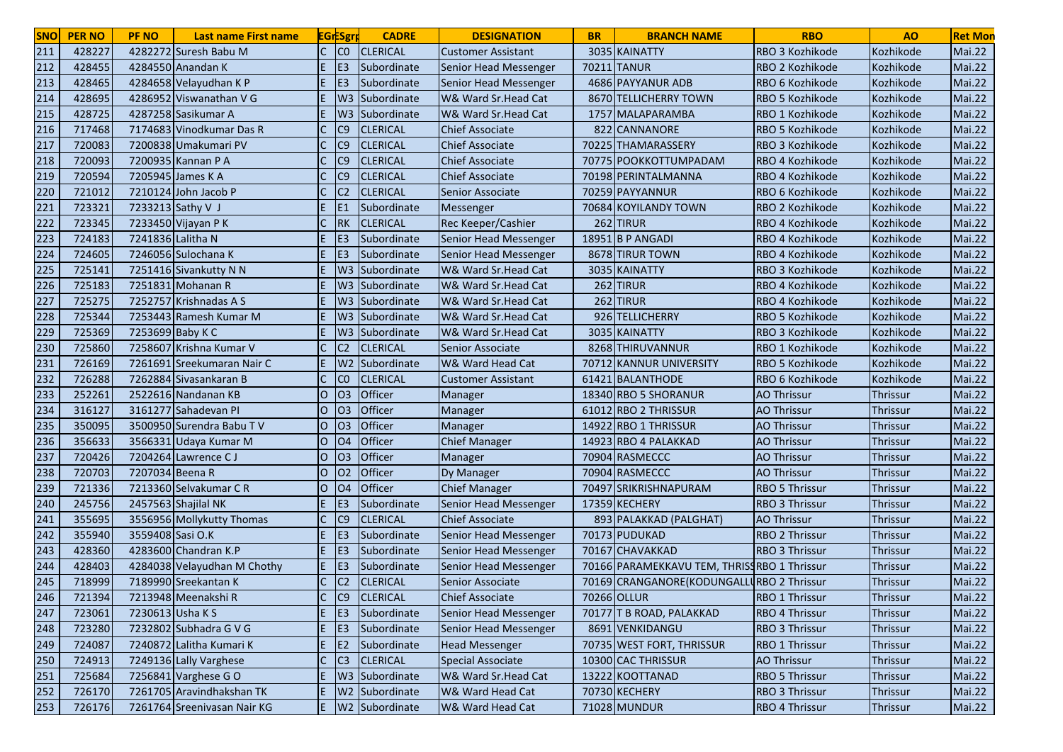| <b>SNO</b> | <b>PER NO</b> | <b>PF NO</b>      | <b>Last name First name</b> |                | <b>EGrESgr</b>  | <b>CADRE</b>         | <b>DESIGNATION</b>           | <b>BR</b> | <b>BRANCH NAME</b>                          | <b>RBO</b>            | A <sub>O</sub>  | <b>Ret Mon</b> |
|------------|---------------|-------------------|-----------------------------|----------------|-----------------|----------------------|------------------------------|-----------|---------------------------------------------|-----------------------|-----------------|----------------|
| 211        | 428227        |                   | 4282272 Suresh Babu M       |                | C <sub>0</sub>  | <b>CLERICAL</b>      | <b>Customer Assistant</b>    |           | 3035 KAINATTY                               | RBO 3 Kozhikode       | Kozhikode       | Mai.22         |
| 212        | 428455        |                   | 4284550 Anandan K           |                | E <sub>3</sub>  | Subordinate          | Senior Head Messenger        |           | 70211 TANUR                                 | RBO 2 Kozhikode       | Kozhikode       | <b>Mai.22</b>  |
| 213        | 428465        |                   | 4284658 Velayudhan K P      |                | E <sub>3</sub>  | Subordinate          | <b>Senior Head Messenger</b> |           | 4686 PAYYANUR ADB                           | RBO 6 Kozhikode       | Kozhikode       | Mai.22         |
| 214        | 428695        |                   | 4286952 Viswanathan V G     |                | W <sub>3</sub>  | Subordinate          | W& Ward Sr.Head Cat          |           | 8670 TELLICHERRY TOWN                       | RBO 5 Kozhikode       | Kozhikode       | <b>Mai.22</b>  |
| 215        | 428725        |                   | 4287258 Sasikumar A         |                | W3              | Subordinate          | W& Ward Sr.Head Cat          |           | 1757 MALAPARAMBA                            | RBO 1 Kozhikode       | Kozhikode       | Mai.22         |
| 216        | 717468        |                   | 7174683 Vinodkumar Das R    |                | C <sub>9</sub>  | <b>CLERICAL</b>      | <b>Chief Associate</b>       | 822       | CANNANORE                                   | RBO 5 Kozhikode       | Kozhikode       | Mai.22         |
| 217        | 720083        |                   | 7200838 Umakumari PV        |                | C9              | <b>CLERICAL</b>      | <b>Chief Associate</b>       |           | 70225 THAMARASSERY                          | RBO 3 Kozhikode       | Kozhikode       | Mai.22         |
| 218        | 720093        |                   | 7200935 Kannan P A          |                | C <sub>9</sub>  | <b>CLERICAL</b>      | <b>Chief Associate</b>       |           | 70775 POOKKOTTUMPADAM                       | RBO 4 Kozhikode       | Kozhikode       | Mai.22         |
| 219        | 720594        |                   | 7205945 James K A           |                | C <sub>9</sub>  | <b>CLERICAL</b>      | <b>Chief Associate</b>       |           | 70198 PERINTALMANNA                         | RBO 4 Kozhikode       | Kozhikode       | Mai.22         |
| 220        | 721012        |                   | 7210124 John Jacob P        |                | C <sub>2</sub>  | <b>CLERICAL</b>      | Senior Associate             |           | 70259 PAYYANNUR                             | RBO 6 Kozhikode       | Kozhikode       | Mai.22         |
| 221        | 723321        |                   | 7233213 Sathy V J           |                | E <sub>1</sub>  | Subordinate          | Messenger                    |           | 70684 KOYILANDY TOWN                        | RBO 2 Kozhikode       | Kozhikode       | Mai.22         |
| 222        | 723345        |                   | 7233450 Vijayan P K         | $\mathsf{C}$   | <b>RK</b>       | <b>CLERICAL</b>      | Rec Keeper/Cashier           |           | 262 TIRUR                                   | RBO 4 Kozhikode       | Kozhikode       | <b>Mai.22</b>  |
| 223        | 724183        | 7241836 Lalitha N |                             |                | IE <sub>3</sub> | Subordinate          | Senior Head Messenger        |           | 18951 B P ANGADI                            | RBO 4 Kozhikode       | Kozhikode       | Mai.22         |
| 224        | 724605        |                   | 7246056 Sulochana K         |                | IE <sub>3</sub> | Subordinate          | Senior Head Messenger        |           | 8678 TIRUR TOWN                             | RBO 4 Kozhikode       | Kozhikode       | Mai.22         |
| 225        | 725141        |                   | 7251416 Sivankutty N N      |                |                 | W3 Subordinate       | W& Ward Sr.Head Cat          |           | 3035 KAINATTY                               | RBO 3 Kozhikode       | Kozhikode       | <b>Mai.22</b>  |
| 226        | 725183        |                   | 7251831 Mohanan R           |                |                 | W3 Subordinate       | W& Ward Sr.Head Cat          |           | 262 TIRUR                                   | RBO 4 Kozhikode       | Kozhikode       | <b>Mai.22</b>  |
| 227        | 725275        |                   | 7252757 Krishnadas A S      |                |                 | W3 Subordinate       | W& Ward Sr.Head Cat          |           | 262 TIRUR                                   | RBO 4 Kozhikode       | Kozhikode       | <b>Mai.22</b>  |
| 228        | 725344        |                   | 7253443 Ramesh Kumar M      |                | W3              | Subordinate          | W& Ward Sr.Head Cat          |           | 926 TELLICHERRY                             | RBO 5 Kozhikode       | Kozhikode       | <b>Mai.22</b>  |
| 229        | 725369        | 7253699 Baby K C  |                             |                |                 | W3 Subordinate       | W& Ward Sr.Head Cat          |           | 3035 KAINATTY                               | RBO 3 Kozhikode       | Kozhikode       | Mai.22         |
| 230        | 725860        |                   | 7258607 Krishna Kumar V     |                | C <sub>2</sub>  | <b>CLERICAL</b>      | Senior Associate             |           | 8268 THIRUVANNUR                            | RBO 1 Kozhikode       | Kozhikode       | <b>Mai.22</b>  |
| 231        | 726169        |                   | 7261691 Sreekumaran Nair C  |                | W <sub>2</sub>  | Subordinate          | W& Ward Head Cat             | 70712     | KANNUR UNIVERSITY                           | RBO 5 Kozhikode       | Kozhikode       | <b>Mai.22</b>  |
| 232        | 726288        |                   | 7262884 Sivasankaran B      |                | CO              | <b>CLERICAL</b>      | <b>Customer Assistant</b>    |           | 61421 BALANTHODE                            | RBO 6 Kozhikode       | Kozhikode       | <b>Mai.22</b>  |
| 233        | 252261        |                   | 2522616 Nandanan KB         | $\overline{O}$ | O <sub>3</sub>  | Officer              | Manager                      |           | 18340 RBO 5 SHORANUR                        | <b>AO Thrissur</b>    | <b>Thrissur</b> | Mai.22         |
| 234        | 316127        |                   | 3161277 Sahadevan PI        | lO.            | O <sub>3</sub>  | Officer              | Manager                      |           | 61012 RBO 2 THRISSUR                        | <b>AO Thrissur</b>    | <b>Thrissur</b> | Mai.22         |
| 235        | 350095        |                   | 3500950 Surendra Babu TV    | lO.            | O <sub>3</sub>  | Officer              | Manager                      |           | 14922 RBO 1 THRISSUR                        | <b>AO Thrissur</b>    | Thrissur        | Mai.22         |
| 236        | 356633        |                   | 3566331 Udaya Kumar M       | O              | <b>O4</b>       | Officer              | <b>Chief Manager</b>         |           | 14923 RBO 4 PALAKKAD                        | <b>AO Thrissur</b>    | Thrissur        | <b>Mai.22</b>  |
| 237        | 720426        |                   | 7204264 Lawrence CJ         | IО             | O <sub>3</sub>  | Officer              | Manager                      |           | 70904 RASMECCC                              | <b>AO Thrissur</b>    | Thrissur        | Mai.22         |
| 238        | 720703        | 7207034 Beena R   |                             | IО             | O <sub>2</sub>  | Officer              | Dy Manager                   |           | 70904 RASMECCC                              | <b>AO Thrissur</b>    | Thrissur        | <b>Mai.22</b>  |
| 239        | 721336        |                   | 7213360 Selvakumar CR       | O              | <b>O4</b>       | Officer              | <b>Chief Manager</b>         |           | 70497 SRIKRISHNAPURAM                       | <b>RBO 5 Thrissur</b> | Thrissur        | Mai.22         |
| 240        | 245756        |                   | 2457563 Shajilal NK         | E.             | E <sub>3</sub>  | Subordinate          | Senior Head Messenger        |           | 17359 KECHERY                               | <b>RBO 3 Thrissur</b> | <b>Thrissur</b> | <b>Mai.22</b>  |
| 241        | 355695        |                   | 3556956 Mollykutty Thomas   |                | C <sub>9</sub>  | <b>CLERICAL</b>      | <b>Chief Associate</b>       |           | 893 PALAKKAD (PALGHAT)                      | <b>AO Thrissur</b>    | Thrissur        | <b>Mai.22</b>  |
| 242        | 355940        | 3559408 Sasi O.K  |                             | E.             | IE3             | Subordinate          | Senior Head Messenger        |           | 70173 PUDUKAD                               | <b>RBO 2 Thrissur</b> | Thrissur        | <b>Mai.22</b>  |
| 243        | 428360        |                   | 4283600 Chandran K.P        | E.             | IE <sub>3</sub> | Subordinate          | <b>Senior Head Messenger</b> |           | 70167 CHAVAKKAD                             | <b>RBO 3 Thrissur</b> | Thrissur        | <b>Mai.22</b>  |
| 244        | 428403        |                   | 4284038 Velayudhan M Chothy | E.             | IE3             | Subordinate          | Senior Head Messenger        |           | 70166 PARAMEKKAVU TEM, THRISSRBO 1 Thrissur |                       | <b>Thrissur</b> | <b>Mai.22</b>  |
| 245        | 718999        |                   | 7189990 Sreekantan K        | $\mathsf{C}$   | C <sub>2</sub>  | <b>CLERICAL</b>      | Senior Associate             |           | 70169 CRANGANORE (KODUNGALLURBO 2 Thrissur  |                       | Thrissur        | <b>Mai.22</b>  |
| <b>Z46</b> | 721394        |                   | 7213948 Meenakshi R         |                | IC9             | <b>CLERICAL</b>      | <b>Chief Associate</b>       |           | 70266 OLLUR                                 | <b>RBO 1 Thrissur</b> | Thrissur        | Mai.22         |
| 247        | 723061        | 7230613 Usha K S  |                             | E.             | E3              | Subordinate          | Senior Head Messenger        |           | 70177 T B ROAD, PALAKKAD                    | <b>RBO 4 Thrissur</b> | Thrissur        | <b>Mai.22</b>  |
| 248        | 723280        |                   | 7232802 Subhadra G V G      | E.             | E3              | Subordinate          | Senior Head Messenger        |           | 8691 VENKIDANGU                             | RBO 3 Thrissur        | Thrissur        | <b>Mai.22</b>  |
| 249        | 724087        |                   | 7240872 Lalitha Kumari K    | E.             | E2              | Subordinate          | <b>Head Messenger</b>        |           | 70735 WEST FORT, THRISSUR                   | RBO 1 Thrissur        | Thrissur        | <b>Mai.22</b>  |
| 250        | 724913        |                   | 7249136 Lally Varghese      | $\mathsf{C}$   | C3              | <b>CLERICAL</b>      | <b>Special Associate</b>     |           | 10300 CAC THRISSUR                          | <b>AO Thrissur</b>    | Thrissur        | <b>Mai.22</b>  |
| 251        | 725684        |                   | 7256841 Varghese GO         | E.             |                 | W3 Subordinate       | W& Ward Sr.Head Cat          |           | 13222 KOOTTANAD                             | <b>RBO 5 Thrissur</b> | Thrissur        | <b>Mai.22</b>  |
| 252        | 726170        |                   | 7261705 Aravindhakshan TK   | E.             |                 | W2 Subordinate       | W& Ward Head Cat             |           | 70730 KECHERY                               | <b>RBO 3 Thrissur</b> | Thrissur        | <b>Mai.22</b>  |
| 253        | 726176        |                   | 7261764 Sreenivasan Nair KG |                |                 | E   W2   Subordinate | W& Ward Head Cat             |           | 71028 MUNDUR                                | RBO 4 Thrissur        | Thrissur        | Mai.22         |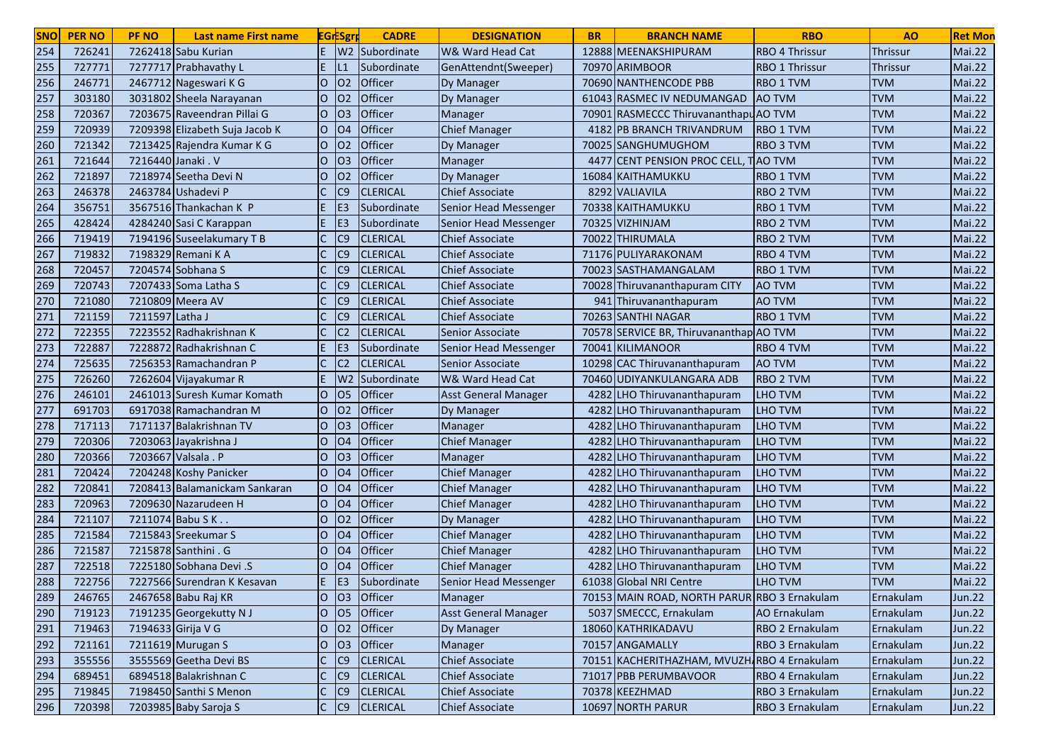| 254<br>E<br>W <sub>2</sub><br>726241<br>7262418 Sabu Kurian<br>12888 MEENAKSHIPURAM<br><b>RBO 4 Thrissur</b><br>Subordinate<br>W& Ward Head Cat<br><b>Thrissur</b><br>255<br>727771<br>7277717 Prabhavathy L<br>70970 ARIMBOOR<br>RBO 1 Thrissur<br>Subordinate<br>GenAttendnt(Sweeper)<br>Thrissur<br>256<br>02<br>Officer<br>2467712 Nageswari K G<br><b>TVM</b><br>246771<br>lO.<br><b>Dy Manager</b><br>70690 NANTHENCODE PBB<br>RBO 1 TVM<br>257<br>O <sub>2</sub><br>Officer<br><b>TVM</b><br>303180<br>3031802 Sheela Narayanan<br>61043 RASMEC IV NEDUMANGAD<br><b>AO TVM</b><br>lO.<br>Dy Manager<br>258<br>Officer<br><b>RASMECCC ThiruvananthapuAO TVM</b><br><b>TVM</b><br>720367<br>7203675 Raveendran Pillai G<br>O <sub>3</sub><br>O<br>Manager<br>70901<br>259<br>Officer<br><b>TVM</b><br>720939<br>7209398 Elizabeth Suja Jacob K<br>lO.<br><b>O4</b><br><b>Chief Manager</b><br><b>PB BRANCH TRIVANDRUM</b><br><b>RBO 1 TVM</b><br>4182<br>Officer<br><b>TVM</b><br>260<br>721342<br>7213425 Rajendra Kumar K G<br>lO.<br>02<br>70025 SANGHUMUGHOM<br><b>RBO 3 TVM</b><br>Dy Manager<br>261<br>721644<br>Officer<br><b>CENT PENSION PROC CELL,</b><br><b>TVM</b><br>7216440 Janaki . V<br>lO.<br>O <sub>3</sub><br><b>TAO TVM</b><br>Manager<br>447<br>262<br>Officer<br><b>TVM</b><br>721897<br>7218974 Seetha Devi N<br>lO.<br>02<br>16084 KAITHAMUKKU<br><b>RBO 1 TVM</b><br><b>Dy Manager</b><br><b>TVM</b><br>263<br>C <sub>9</sub><br>246378<br>2463784 Ushadevi P<br><b>CLERICAL</b><br><b>Chief Associate</b><br><b>RBO 2 TVM</b><br>8292 VALIAVILA<br><b>TVM</b><br>264<br>356751<br>3567516 Thankachan K P<br>E.<br>E <sub>3</sub><br>Subordinate<br>Senior Head Messenger<br>70338 KAITHAMUKKU<br>RBO 1 TVM | <b>Mai.22</b><br><b>Mai.22</b><br><b>Mai.22</b><br><b>Mai.22</b><br>Mai.22<br>Mai.22<br>Mai.22<br>Mai.22<br>Mai.22<br><b>Mai.22</b><br><b>Mai.22</b><br><b>Mai.22</b><br>Mai.22 |
|-------------------------------------------------------------------------------------------------------------------------------------------------------------------------------------------------------------------------------------------------------------------------------------------------------------------------------------------------------------------------------------------------------------------------------------------------------------------------------------------------------------------------------------------------------------------------------------------------------------------------------------------------------------------------------------------------------------------------------------------------------------------------------------------------------------------------------------------------------------------------------------------------------------------------------------------------------------------------------------------------------------------------------------------------------------------------------------------------------------------------------------------------------------------------------------------------------------------------------------------------------------------------------------------------------------------------------------------------------------------------------------------------------------------------------------------------------------------------------------------------------------------------------------------------------------------------------------------------------------------------------------------------------------------------------------------------------------------------------------------|---------------------------------------------------------------------------------------------------------------------------------------------------------------------------------|
|                                                                                                                                                                                                                                                                                                                                                                                                                                                                                                                                                                                                                                                                                                                                                                                                                                                                                                                                                                                                                                                                                                                                                                                                                                                                                                                                                                                                                                                                                                                                                                                                                                                                                                                                           |                                                                                                                                                                                 |
|                                                                                                                                                                                                                                                                                                                                                                                                                                                                                                                                                                                                                                                                                                                                                                                                                                                                                                                                                                                                                                                                                                                                                                                                                                                                                                                                                                                                                                                                                                                                                                                                                                                                                                                                           |                                                                                                                                                                                 |
|                                                                                                                                                                                                                                                                                                                                                                                                                                                                                                                                                                                                                                                                                                                                                                                                                                                                                                                                                                                                                                                                                                                                                                                                                                                                                                                                                                                                                                                                                                                                                                                                                                                                                                                                           |                                                                                                                                                                                 |
|                                                                                                                                                                                                                                                                                                                                                                                                                                                                                                                                                                                                                                                                                                                                                                                                                                                                                                                                                                                                                                                                                                                                                                                                                                                                                                                                                                                                                                                                                                                                                                                                                                                                                                                                           |                                                                                                                                                                                 |
|                                                                                                                                                                                                                                                                                                                                                                                                                                                                                                                                                                                                                                                                                                                                                                                                                                                                                                                                                                                                                                                                                                                                                                                                                                                                                                                                                                                                                                                                                                                                                                                                                                                                                                                                           |                                                                                                                                                                                 |
|                                                                                                                                                                                                                                                                                                                                                                                                                                                                                                                                                                                                                                                                                                                                                                                                                                                                                                                                                                                                                                                                                                                                                                                                                                                                                                                                                                                                                                                                                                                                                                                                                                                                                                                                           |                                                                                                                                                                                 |
|                                                                                                                                                                                                                                                                                                                                                                                                                                                                                                                                                                                                                                                                                                                                                                                                                                                                                                                                                                                                                                                                                                                                                                                                                                                                                                                                                                                                                                                                                                                                                                                                                                                                                                                                           |                                                                                                                                                                                 |
|                                                                                                                                                                                                                                                                                                                                                                                                                                                                                                                                                                                                                                                                                                                                                                                                                                                                                                                                                                                                                                                                                                                                                                                                                                                                                                                                                                                                                                                                                                                                                                                                                                                                                                                                           |                                                                                                                                                                                 |
|                                                                                                                                                                                                                                                                                                                                                                                                                                                                                                                                                                                                                                                                                                                                                                                                                                                                                                                                                                                                                                                                                                                                                                                                                                                                                                                                                                                                                                                                                                                                                                                                                                                                                                                                           |                                                                                                                                                                                 |
|                                                                                                                                                                                                                                                                                                                                                                                                                                                                                                                                                                                                                                                                                                                                                                                                                                                                                                                                                                                                                                                                                                                                                                                                                                                                                                                                                                                                                                                                                                                                                                                                                                                                                                                                           |                                                                                                                                                                                 |
|                                                                                                                                                                                                                                                                                                                                                                                                                                                                                                                                                                                                                                                                                                                                                                                                                                                                                                                                                                                                                                                                                                                                                                                                                                                                                                                                                                                                                                                                                                                                                                                                                                                                                                                                           |                                                                                                                                                                                 |
| <b>TVM</b><br>265<br>428424<br>4284240 Sasi C Karappan<br>E<br>IE <sub>3</sub><br>Subordinate<br>Senior Head Messenger<br>70325 VIZHINJAM<br>RBO 2 TVM                                                                                                                                                                                                                                                                                                                                                                                                                                                                                                                                                                                                                                                                                                                                                                                                                                                                                                                                                                                                                                                                                                                                                                                                                                                                                                                                                                                                                                                                                                                                                                                    |                                                                                                                                                                                 |
| 266<br>C <sub>9</sub><br><b>TVM</b><br>719419<br>7194196 Suseelakumary T B<br><b>CLERICAL</b><br><b>Chief Associate</b><br>70022 THIRUMALA<br><b>RBO 2 TVM</b>                                                                                                                                                                                                                                                                                                                                                                                                                                                                                                                                                                                                                                                                                                                                                                                                                                                                                                                                                                                                                                                                                                                                                                                                                                                                                                                                                                                                                                                                                                                                                                            |                                                                                                                                                                                 |
| 267<br>719832<br>C <sub>9</sub><br><b>TVM</b><br>7198329 Remani K A<br><b>CLERICAL</b><br><b>Chief Associate</b><br>71176 PULIYARAKONAM<br>RBO 4 TVM                                                                                                                                                                                                                                                                                                                                                                                                                                                                                                                                                                                                                                                                                                                                                                                                                                                                                                                                                                                                                                                                                                                                                                                                                                                                                                                                                                                                                                                                                                                                                                                      | Mai.22                                                                                                                                                                          |
| 268<br><b>TVM</b><br>720457<br>7204574 Sobhana S<br>C <sub>9</sub><br><b>CLERICAL</b><br><b>Chief Associate</b><br>70023 SASTHAMANGALAM<br>RBO 1 TVM                                                                                                                                                                                                                                                                                                                                                                                                                                                                                                                                                                                                                                                                                                                                                                                                                                                                                                                                                                                                                                                                                                                                                                                                                                                                                                                                                                                                                                                                                                                                                                                      | <b>Mai.22</b>                                                                                                                                                                   |
| 269<br><b>TVM</b><br>720743<br>7207433 Soma Latha S<br>C <sub>9</sub><br><b>CLERICAL</b><br><b>Chief Associate</b><br>70028 Thiruvananthapuram CITY<br><b>AO TVM</b>                                                                                                                                                                                                                                                                                                                                                                                                                                                                                                                                                                                                                                                                                                                                                                                                                                                                                                                                                                                                                                                                                                                                                                                                                                                                                                                                                                                                                                                                                                                                                                      | <b>Mai.22</b>                                                                                                                                                                   |
| 270<br>7210809 Meera AV<br>C <sub>9</sub><br><b>AO TVM</b><br><b>TVM</b><br>721080<br><b>CLERICAL</b><br><b>Chief Associate</b><br>941<br>Thiruvananthapuram                                                                                                                                                                                                                                                                                                                                                                                                                                                                                                                                                                                                                                                                                                                                                                                                                                                                                                                                                                                                                                                                                                                                                                                                                                                                                                                                                                                                                                                                                                                                                                              | <b>Mai.22</b>                                                                                                                                                                   |
| 271<br><b>TVM</b><br>721159<br>7211597 Latha J<br>C <sub>9</sub><br><b>CLERICAL</b><br><b>Chief Associate</b><br>70263 SANTHI NAGAR<br>RBO 1 TVM                                                                                                                                                                                                                                                                                                                                                                                                                                                                                                                                                                                                                                                                                                                                                                                                                                                                                                                                                                                                                                                                                                                                                                                                                                                                                                                                                                                                                                                                                                                                                                                          | <b>Mai.22</b>                                                                                                                                                                   |
| <b>TVM</b><br>272<br>722355<br>7223552 Radhakrishnan K<br><b>CLERICAL</b><br>70578 SERVICE BR, Thiruvananthap AO TVM<br>C2<br>Senior Associate                                                                                                                                                                                                                                                                                                                                                                                                                                                                                                                                                                                                                                                                                                                                                                                                                                                                                                                                                                                                                                                                                                                                                                                                                                                                                                                                                                                                                                                                                                                                                                                            | <b>Mai.22</b>                                                                                                                                                                   |
| 273<br><b>TVM</b><br>722887<br>7228872 Radhakrishnan C<br><b>KILIMANOOR</b><br>E <sub>3</sub><br>Subordinate<br>Senior Head Messenger<br>70041<br>RBO 4 TVM                                                                                                                                                                                                                                                                                                                                                                                                                                                                                                                                                                                                                                                                                                                                                                                                                                                                                                                                                                                                                                                                                                                                                                                                                                                                                                                                                                                                                                                                                                                                                                               | <b>Mai.22</b>                                                                                                                                                                   |
| 274<br><b>TVM</b><br>725635<br>7256353 Ramachandran P<br>C <sub>2</sub><br><b>CLERICAL</b><br><b>AO TVM</b><br>Senior Associate<br>10298 CAC Thiruvananthapuram                                                                                                                                                                                                                                                                                                                                                                                                                                                                                                                                                                                                                                                                                                                                                                                                                                                                                                                                                                                                                                                                                                                                                                                                                                                                                                                                                                                                                                                                                                                                                                           | <b>Mai.22</b>                                                                                                                                                                   |
| 275<br><b>TVM</b><br>726260<br>7262604 Vijayakumar R<br>W <sub>2</sub><br>Subordinate<br>W& Ward Head Cat<br>70460 UDIYANKULANGARA ADB<br><b>RBO 2 TVM</b>                                                                                                                                                                                                                                                                                                                                                                                                                                                                                                                                                                                                                                                                                                                                                                                                                                                                                                                                                                                                                                                                                                                                                                                                                                                                                                                                                                                                                                                                                                                                                                                | <b>Mai.22</b>                                                                                                                                                                   |
| 276<br>Officer<br><b>TVM</b><br>246101<br>2461013 Suresh Kumar Komath<br>lO.<br>O <sub>5</sub><br><b>Asst General Manager</b><br>4282<br><b>LHO</b> Thiruvananthapuram<br><b>LHO TVM</b>                                                                                                                                                                                                                                                                                                                                                                                                                                                                                                                                                                                                                                                                                                                                                                                                                                                                                                                                                                                                                                                                                                                                                                                                                                                                                                                                                                                                                                                                                                                                                  | Mai.22                                                                                                                                                                          |
| 277<br><b>TVM</b><br>691703<br>6917038 Ramachandran M<br>Officer<br>lO.<br>02<br>4282<br>LHO Thiruvananthapuram<br><b>LHO TVM</b><br>Dy Manager                                                                                                                                                                                                                                                                                                                                                                                                                                                                                                                                                                                                                                                                                                                                                                                                                                                                                                                                                                                                                                                                                                                                                                                                                                                                                                                                                                                                                                                                                                                                                                                           | Mai.22                                                                                                                                                                          |
| 278<br>717113<br>7171137 Balakrishnan TV<br>O <sub>3</sub><br>Officer<br><b>TVM</b><br>lO.<br>Manager<br>4282<br>LHO Thiruvananthapuram<br><b>LHO TVM</b>                                                                                                                                                                                                                                                                                                                                                                                                                                                                                                                                                                                                                                                                                                                                                                                                                                                                                                                                                                                                                                                                                                                                                                                                                                                                                                                                                                                                                                                                                                                                                                                 | Mai.22                                                                                                                                                                          |
| 279<br>Officer<br><b>Chief Manager</b><br><b>TVM</b><br>720306<br>7203063 Jayakrishna J<br>O<br>O <sub>4</sub><br><b>LHO</b> Thiruvananthapuram<br>LHO TVM<br>4282                                                                                                                                                                                                                                                                                                                                                                                                                                                                                                                                                                                                                                                                                                                                                                                                                                                                                                                                                                                                                                                                                                                                                                                                                                                                                                                                                                                                                                                                                                                                                                        | <b>Mai.22</b>                                                                                                                                                                   |
| 280<br>7203667 Valsala . P<br>Officer<br><b>TVM</b><br>720366<br>O <sub>3</sub><br>Manager<br>IО<br>4282 LHO Thiruvananthapuram<br>LHO TVM                                                                                                                                                                                                                                                                                                                                                                                                                                                                                                                                                                                                                                                                                                                                                                                                                                                                                                                                                                                                                                                                                                                                                                                                                                                                                                                                                                                                                                                                                                                                                                                                | Mai.22                                                                                                                                                                          |
| 281<br><b>TVM</b><br>Officer<br>720424<br>7204248 Koshy Panicker<br>IО<br><b>Chief Manager</b><br><b>LHO TVM</b><br>O <sub>4</sub><br>4282 LHO Thiruvananthapuram                                                                                                                                                                                                                                                                                                                                                                                                                                                                                                                                                                                                                                                                                                                                                                                                                                                                                                                                                                                                                                                                                                                                                                                                                                                                                                                                                                                                                                                                                                                                                                         | <b>Mai.22</b>                                                                                                                                                                   |
| 282<br><b>TVM</b><br>lo<br>Officer<br>720841<br>7208413 Balamanickam Sankaran<br><b>O4</b><br><b>Chief Manager</b><br>4282 LHO Thiruvananthapuram<br><b>LHO TVM</b>                                                                                                                                                                                                                                                                                                                                                                                                                                                                                                                                                                                                                                                                                                                                                                                                                                                                                                                                                                                                                                                                                                                                                                                                                                                                                                                                                                                                                                                                                                                                                                       | Mai.22                                                                                                                                                                          |
| 283<br>Officer<br><b>TVM</b><br>720963<br>7209630 Nazarudeen H<br>O<br><b>O4</b><br><b>Chief Manager</b><br>4282<br><b>LHO TVM</b><br>LHO Thiruvananthapuram                                                                                                                                                                                                                                                                                                                                                                                                                                                                                                                                                                                                                                                                                                                                                                                                                                                                                                                                                                                                                                                                                                                                                                                                                                                                                                                                                                                                                                                                                                                                                                              | <b>Mai.22</b>                                                                                                                                                                   |
| 284<br>Officer<br><b>TVM</b><br>721107<br>7211074 Babu S K.<br>02<br>4282<br><b>LHO TVM</b><br>lO.<br>Dy Manager<br><b>LHO</b> Thiruvananthapuram                                                                                                                                                                                                                                                                                                                                                                                                                                                                                                                                                                                                                                                                                                                                                                                                                                                                                                                                                                                                                                                                                                                                                                                                                                                                                                                                                                                                                                                                                                                                                                                         | <b>Mai.22</b>                                                                                                                                                                   |
| 285<br>Officer<br>721584<br><b>TVM</b><br>7215843 Sreekumar S<br>O <sub>4</sub><br><b>Chief Manager</b><br>4282<br>LHO Thiruvananthapuram<br><b>LHO TVM</b><br>IО                                                                                                                                                                                                                                                                                                                                                                                                                                                                                                                                                                                                                                                                                                                                                                                                                                                                                                                                                                                                                                                                                                                                                                                                                                                                                                                                                                                                                                                                                                                                                                         | <b>Mai.22</b>                                                                                                                                                                   |
| 286<br>7215878 Santhini . G<br>Officer<br>721587<br>O <sub>4</sub><br><b>Chief Manager</b><br>4282<br>LHO Thiruvananthapuram<br>LHO TVM<br><b>TVM</b><br>IО                                                                                                                                                                                                                                                                                                                                                                                                                                                                                                                                                                                                                                                                                                                                                                                                                                                                                                                                                                                                                                                                                                                                                                                                                                                                                                                                                                                                                                                                                                                                                                               | <b>Mai.22</b>                                                                                                                                                                   |
| Officer<br>287<br>7225180 Sobhana Devi .S<br><b>LHO TVM</b><br><b>TVM</b><br>722518<br>O <sub>4</sub><br><b>Chief Manager</b><br>4282<br>LHO Thiruvananthapuram<br>0                                                                                                                                                                                                                                                                                                                                                                                                                                                                                                                                                                                                                                                                                                                                                                                                                                                                                                                                                                                                                                                                                                                                                                                                                                                                                                                                                                                                                                                                                                                                                                      | <b>Mai.22</b>                                                                                                                                                                   |
| 288<br>722756<br>7227566 Surendran K Kesavan<br>E <sub>3</sub><br>Subordinate<br>61038 Global NRI Centre<br>LHO TVM<br><b>TVM</b><br>Senior Head Messenger                                                                                                                                                                                                                                                                                                                                                                                                                                                                                                                                                                                                                                                                                                                                                                                                                                                                                                                                                                                                                                                                                                                                                                                                                                                                                                                                                                                                                                                                                                                                                                                | <b>Mai.22</b>                                                                                                                                                                   |
| 246765<br>2467658 Babu Raj KR<br>IО<br><b>103</b><br><b>Officer</b><br>Manager<br>70153 MAIN ROAD, NORTH PARUR RBO 3 Ernakulam<br>Ernakulam<br>289                                                                                                                                                                                                                                                                                                                                                                                                                                                                                                                                                                                                                                                                                                                                                                                                                                                                                                                                                                                                                                                                                                                                                                                                                                                                                                                                                                                                                                                                                                                                                                                        | Jun.22                                                                                                                                                                          |
| 7191235 Georgekutty N J<br>lo<br>05<br>Officer<br>290<br>719123<br><b>Asst General Manager</b><br>5037 SMECCC, Ernakulam<br>AO Ernakulam<br>Ernakulam                                                                                                                                                                                                                                                                                                                                                                                                                                                                                                                                                                                                                                                                                                                                                                                                                                                                                                                                                                                                                                                                                                                                                                                                                                                                                                                                                                                                                                                                                                                                                                                     | Jun.22                                                                                                                                                                          |
| 02<br>291<br>7194633 Girija V G<br>$\overline{O}$<br>Officer<br>719463<br>18060 KATHRIKADAVU<br>RBO 2 Ernakulam<br>Ernakulam<br>Dy Manager                                                                                                                                                                                                                                                                                                                                                                                                                                                                                                                                                                                                                                                                                                                                                                                                                                                                                                                                                                                                                                                                                                                                                                                                                                                                                                                                                                                                                                                                                                                                                                                                | <b>Jun.22</b>                                                                                                                                                                   |
| 292<br>7211619 Murugan S<br>$\overline{O}$<br>O <sub>3</sub><br>Officer<br>70157 ANGAMALLY<br>RBO 3 Ernakulam<br>721161<br>Manager<br>Ernakulam                                                                                                                                                                                                                                                                                                                                                                                                                                                                                                                                                                                                                                                                                                                                                                                                                                                                                                                                                                                                                                                                                                                                                                                                                                                                                                                                                                                                                                                                                                                                                                                           | Jun.22                                                                                                                                                                          |
| 293<br>$\mathsf{C}$<br>355556<br>3555569 Geetha Devi BS<br>C9<br><b>CLERICAL</b><br><b>Chief Associate</b><br>70151 KACHERITHAZHAM, MVUZH RBO 4 Ernakulam<br>Ernakulam                                                                                                                                                                                                                                                                                                                                                                                                                                                                                                                                                                                                                                                                                                                                                                                                                                                                                                                                                                                                                                                                                                                                                                                                                                                                                                                                                                                                                                                                                                                                                                    | Jun.22                                                                                                                                                                          |
| 294<br>$\mathsf{C}$<br>689451<br>6894518 Balakrishnan C<br>C9<br>71017 PBB PERUMBAVOOR<br><b>CLERICAL</b><br><b>Chief Associate</b><br>RBO 4 Ernakulam<br>Ernakulam                                                                                                                                                                                                                                                                                                                                                                                                                                                                                                                                                                                                                                                                                                                                                                                                                                                                                                                                                                                                                                                                                                                                                                                                                                                                                                                                                                                                                                                                                                                                                                       | Jun.22                                                                                                                                                                          |
| 295<br>7198450 Santhi S Menon<br>$\mathsf{C}$<br> C9 <br>70378 KEEZHMAD<br>719845<br><b>CLERICAL</b><br><b>Chief Associate</b><br>RBO 3 Ernakulam<br>Ernakulam                                                                                                                                                                                                                                                                                                                                                                                                                                                                                                                                                                                                                                                                                                                                                                                                                                                                                                                                                                                                                                                                                                                                                                                                                                                                                                                                                                                                                                                                                                                                                                            |                                                                                                                                                                                 |
| 296<br>$ C $ $ C9 $<br>10697 NORTH PARUR<br>720398<br>7203985 Baby Saroja S<br><b>CLERICAL</b><br>RBO 3 Ernakulam<br><b>Chief Associate</b><br>Ernakulam                                                                                                                                                                                                                                                                                                                                                                                                                                                                                                                                                                                                                                                                                                                                                                                                                                                                                                                                                                                                                                                                                                                                                                                                                                                                                                                                                                                                                                                                                                                                                                                  | Jun.22                                                                                                                                                                          |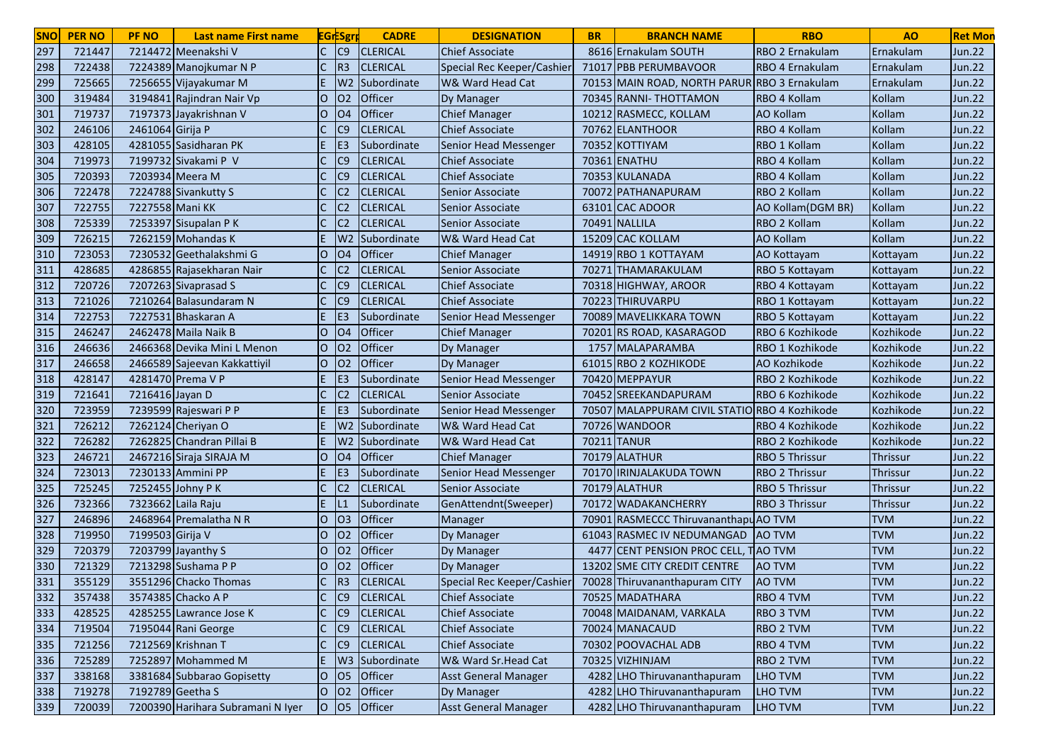| <b>SNO</b> | <b>PER NO</b> | <b>PF NO</b>       | <b>Last name First name</b>       |                | <b>EGrESgr</b> | <b>CADRE</b>               | <b>DESIGNATION</b>           | <b>BR</b> | <b>BRANCH NAME</b>                            | <b>RBO</b>            | A <sub>O</sub>  | <b>Ret Mon</b> |
|------------|---------------|--------------------|-----------------------------------|----------------|----------------|----------------------------|------------------------------|-----------|-----------------------------------------------|-----------------------|-----------------|----------------|
| 297        | 721447        |                    | 7214472 Meenakshi V               |                | C <sub>9</sub> | <b>CLERICAL</b>            | Chief Associate              |           | 8616 Ernakulam SOUTH                          | RBO 2 Ernakulam       | Ernakulam       | Jun.22         |
| 298        | 722438        |                    | 7224389 Manojkumar N P            |                | R <sub>3</sub> | <b>CLERICAL</b>            | Special Rec Keeper/Cashier   |           | 71017 PBB PERUMBAVOOR                         | RBO 4 Ernakulam       | Ernakulam       | Jun.22         |
| 299        | 725665        |                    | 7256655 Vijayakumar M             |                |                | W <sub>2</sub> Subordinate | W& Ward Head Cat             |           | 70153 MAIN ROAD, NORTH PARUR RBO 3 Ernakulam  |                       | Ernakulam       | <b>Jun.22</b>  |
| 300        | 319484        |                    | 3194841 Rajindran Nair Vp         | $\Omega$       | 02             | Officer                    | <b>Dy Manager</b>            |           | 70345 RANNI- THOTTAMON                        | RBO 4 Kollam          | Kollam          | <b>Jun.22</b>  |
| 301        | 719737        |                    | 7197373 Jayakrishnan V            | $\Omega$       | O <sub>4</sub> | Officer                    | <b>Chief Manager</b>         |           | 10212 RASMECC, KOLLAM                         | <b>AO Kollam</b>      | Kollam          | <b>Jun.22</b>  |
| 302        | 246106        | 2461064 Girija P   |                                   |                | C9             | <b>CLERICAL</b>            | <b>Chief Associate</b>       |           | 70762 ELANTHOOR                               | RBO 4 Kollam          | Kollam          | <b>Jun.22</b>  |
| 303        | 428105        |                    | 4281055 Sasidharan PK             |                | E <sub>3</sub> | Subordinate                | Senior Head Messenger        |           | 70352 KOTTIYAM                                | RBO 1 Kollam          | Kollam          | <b>Jun.22</b>  |
| 304        | 719973        |                    | 7199732 Sivakami P V              | $\mathsf{C}$   | C <sub>9</sub> | <b>CLERICAL</b>            | <b>Chief Associate</b>       |           | 70361 ENATHU                                  | RBO 4 Kollam          | Kollam          | <b>Jun.22</b>  |
| 305        | 720393        | 7203934 Meera M    |                                   |                | C <sub>9</sub> | <b>CLERICAL</b>            | <b>Chief Associate</b>       |           | 70353 KULANADA                                | RBO 4 Kollam          | Kollam          | <b>Jun.22</b>  |
| 306        | 722478        |                    | 7224788 Sivankutty S              |                | C <sub>2</sub> | <b>CLERICAL</b>            | Senior Associate             |           | 70072 PATHANAPURAM                            | RBO 2 Kollam          | Kollam          | <b>Jun.22</b>  |
| 307        | 722755        | 7227558 Mani KK    |                                   |                | C <sub>2</sub> | <b>CLERICAL</b>            | <b>Senior Associate</b>      |           | 63101 CAC ADOOR                               | AO Kollam (DGM BR)    | Kollam          | <b>Jun.22</b>  |
| 308        | 725339        |                    | 7253397 Sisupalan PK              |                | C <sub>2</sub> | <b>CLERICAL</b>            | Senior Associate             |           | 70491 NALLILA                                 | RBO 2 Kollam          | Kollam          | <b>Jun.22</b>  |
| 309        | 726215        |                    | 7262159 Mohandas K                |                |                | W <sub>2</sub> Subordinate | W& Ward Head Cat             |           | 15209 CAC KOLLAM                              | <b>AO Kollam</b>      | Kollam          | <b>Jun.22</b>  |
| 310        | 723053        |                    | 7230532 Geethalakshmi G           | lO.            | <b>O4</b>      | Officer                    | <b>Chief Manager</b>         |           | 14919 RBO 1 KOTTAYAM                          | AO Kottayam           | Kottayam        | <b>Jun.22</b>  |
| 311        | 428685        |                    | 4286855 Rajasekharan Nair         |                | C <sub>2</sub> | <b>CLERICAL</b>            | Senior Associate             |           | 70271 THAMARAKULAM                            | RBO 5 Kottayam        | Kottayam        | <b>Jun.22</b>  |
| 312        | 720726        |                    | 7207263 Sivaprasad S              |                | C <sub>9</sub> | <b>CLERICAL</b>            | <b>Chief Associate</b>       |           | 70318 HIGHWAY, AROOR                          | RBO 4 Kottayam        | Kottayam        | <b>Jun.22</b>  |
| 313        | 721026        |                    | 7210264 Balasundaram N            |                | C <sub>9</sub> | <b>CLERICAL</b>            | <b>Chief Associate</b>       |           | 70223 THIRUVARPU                              | RBO 1 Kottayam        | Kottayam        | <b>Jun.22</b>  |
| 314        | 722753        |                    | 7227531 Bhaskaran A               | E.             | E <sub>3</sub> | Subordinate                | Senior Head Messenger        |           | 70089 MAVELIKKARA TOWN                        | RBO 5 Kottayam        | Kottayam        | Jun.22         |
| 315        | 246247        |                    | 2462478 Maila Naik B              | lO.            | <b>O4</b>      | Officer                    | <b>Chief Manager</b>         |           | 70201 RS ROAD, KASARAGOD                      | RBO 6 Kozhikode       | Kozhikode       | Jun.22         |
| 316        | 246636        |                    | 2466368 Devika Mini L Menon       | lO             | O <sub>2</sub> | Officer                    | Dy Manager                   |           | 1757 MALAPARAMBA                              | RBO 1 Kozhikode       | Kozhikode       | <b>Jun.22</b>  |
| 317        | 246658        |                    | 2466589 Sajeevan Kakkattiyil      | lO.            | O <sub>2</sub> | <b>Officer</b>             | Dy Manager                   |           | 61015 RBO 2 KOZHIKODE                         | AO Kozhikode          | Kozhikode       | <b>Jun.22</b>  |
| 318        | 428147        |                    | 4281470 Prema V P                 | E.             | E <sub>3</sub> | Subordinate                | <b>Senior Head Messenger</b> |           | 70420 MEPPAYUR                                | RBO 2 Kozhikode       | Kozhikode       | <b>Jun.22</b>  |
| 319        | 721641        | 7216416 Jayan D    |                                   |                | C <sub>2</sub> | <b>CLERICAL</b>            | Senior Associate             |           | 70452 SREEKANDAPURAM                          | RBO 6 Kozhikode       | Kozhikode       | <b>Jun.22</b>  |
| 320        | 723959        |                    | 7239599 Rajeswari P P             | E.             | E <sub>3</sub> | Subordinate                | Senior Head Messenger        |           | 70507 MALAPPURAM CIVIL STATIO RBO 4 Kozhikode |                       | Kozhikode       | <b>Jun.22</b>  |
| 321        | 726212        |                    | 7262124 Cheriyan O                | E.             |                | W2 Subordinate             | W& Ward Head Cat             |           | 70726 WANDOOR                                 | RBO 4 Kozhikode       | Kozhikode       | <b>Jun.22</b>  |
| 322        | 726282        |                    | 7262825 Chandran Pillai B         | E.             |                | W <sub>2</sub> Subordinate | W& Ward Head Cat             |           | 70211 TANUR                                   | RBO 2 Kozhikode       | Kozhikode       | <b>Jun.22</b>  |
| 323        | 246721        |                    | 2467216 Siraja SIRAJA M           | IО             | O <sub>4</sub> | Officer                    | <b>Chief Manager</b>         |           | 70179 ALATHUR                                 | <b>RBO 5 Thrissur</b> | Thrissur        | <b>Jun.22</b>  |
| 324        | 723013        |                    | 7230133 Ammini PP                 | E              | E <sub>3</sub> | Subordinate                | Senior Head Messenger        |           | 70170 IRINJALAKUDA TOWN                       | <b>RBO 2 Thrissur</b> | <b>Thrissur</b> | <b>Jun.22</b>  |
| 325        | 725245        |                    | 7252455 Johny P K                 | C.             | C <sub>2</sub> | <b>CLERICAL</b>            | Senior Associate             |           | 70179 ALATHUR                                 | <b>RBO 5 Thrissur</b> | <b>Thrissur</b> | <b>Jun.22</b>  |
| 326        | 732366        | 7323662 Laila Raju |                                   | E.             | L1             | Subordinate                | GenAttendnt(Sweeper)         |           | 70172 WADAKANCHERRY                           | <b>RBO 3 Thrissur</b> | <b>Thrissur</b> | <b>Jun.22</b>  |
| 327        | 246896        |                    | 2468964 Premalatha N R            | lO.            | O <sub>3</sub> | Officer                    | Manager                      |           | 70901 RASMECCC ThiruvananthapuAO TVM          |                       | <b>TVM</b>      | <b>Jun.22</b>  |
| 328        | 719950        | 7199503 Girija V   |                                   | lO.            | 02             | <b>Officer</b>             | Dy Manager                   |           | 61043 RASMEC IV NEDUMANGAD                    | <b>AO TVM</b>         | <b>TVM</b>      | <b>Jun.22</b>  |
| 329        | 720379        |                    | 7203799 Jayanthy S                | lO.            | 02             | Officer                    | Dy Manager                   |           | 4477 CENT PENSION PROC CELL, TAO TVM          |                       | <b>TVM</b>      | <b>Jun.22</b>  |
| 330        | 721329        |                    | 7213298 Sushama P P               | lO.            | 02             | Officer                    | Dy Manager                   |           | 13202 SME CITY CREDIT CENTRE                  | <b>AO TVM</b>         | <b>TVM</b>      | <b>Jun.22</b>  |
| 331        | 355129        |                    | 3551296 Chacko Thomas             |                | R <sub>3</sub> | <b>CLERICAL</b>            | Special Rec Keeper/Cashier   |           | 70028 Thiruvananthapuram CITY                 | <b>AO TVM</b>         | <b>TVM</b>      | Jun.22         |
| 332        | 357438        |                    | 3574385 Chacko A P                | IC.            | C9             | <b>CLERICAL</b>            | <b>Chief Associate</b>       |           | 70525 MADATHARA                               | <b>RBO 4 TVM</b>      | <b>TVM</b>      | <b>Jun.22</b>  |
| 333        | 428525        |                    | 4285255 Lawrance Jose K           | $\mathsf{C}$   | C <sub>9</sub> | <b>CLERICAL</b>            | <b>Chief Associate</b>       |           | 70048 MAIDANAM, VARKALA                       | <b>RBO 3 TVM</b>      | <b>TVM</b>      | <b>Jun.22</b>  |
| 334        | 719504        |                    | 7195044 Rani George               | $\mathsf{C}$   | C9             | <b>CLERICAL</b>            | <b>Chief Associate</b>       |           | 70024 MANACAUD                                | <b>RBO 2 TVM</b>      | <b>TVM</b>      | <b>Jun.22</b>  |
| 335        | 721256        |                    | 7212569 Krishnan T                | $\mathsf{C}$   | C9             | <b>CLERICAL</b>            | <b>Chief Associate</b>       |           | 70302 POOVACHAL ADB                           | RBO 4 TVM             | <b>TVM</b>      | Jun.22         |
| 336        | 725289        |                    | 7252897 Mohammed M                | E.             |                | W3 Subordinate             | W& Ward Sr.Head Cat          |           | 70325 VIZHINJAM                               | <b>RBO 2 TVM</b>      | <b>TVM</b>      | <b>Jun.22</b>  |
| 337        | 338168        |                    | 3381684 Subbarao Gopisetty        | lo             | O <sub>5</sub> | Officer                    | <b>Asst General Manager</b>  |           | 4282 LHO Thiruvananthapuram                   | LHO TVM               | <b>TVM</b>      | Jun.22         |
| 338        | 719278        | 7192789 Geetha S   |                                   | $\overline{O}$ | 02             | Officer                    | Dy Manager                   |           | 4282 LHO Thiruvananthapuram                   | LHO TVM               | <b>TVM</b>      | Jun.22         |
| 339        | 720039        |                    | 7200390 Harihara Subramani N Iyer | $\overline{O}$ | $ 05\rangle$   | Officer                    | <b>Asst General Manager</b>  |           | 4282 LHO Thiruvananthapuram                   | <b>LHO TVM</b>        | <b>TVM</b>      | <b>Jun.22</b>  |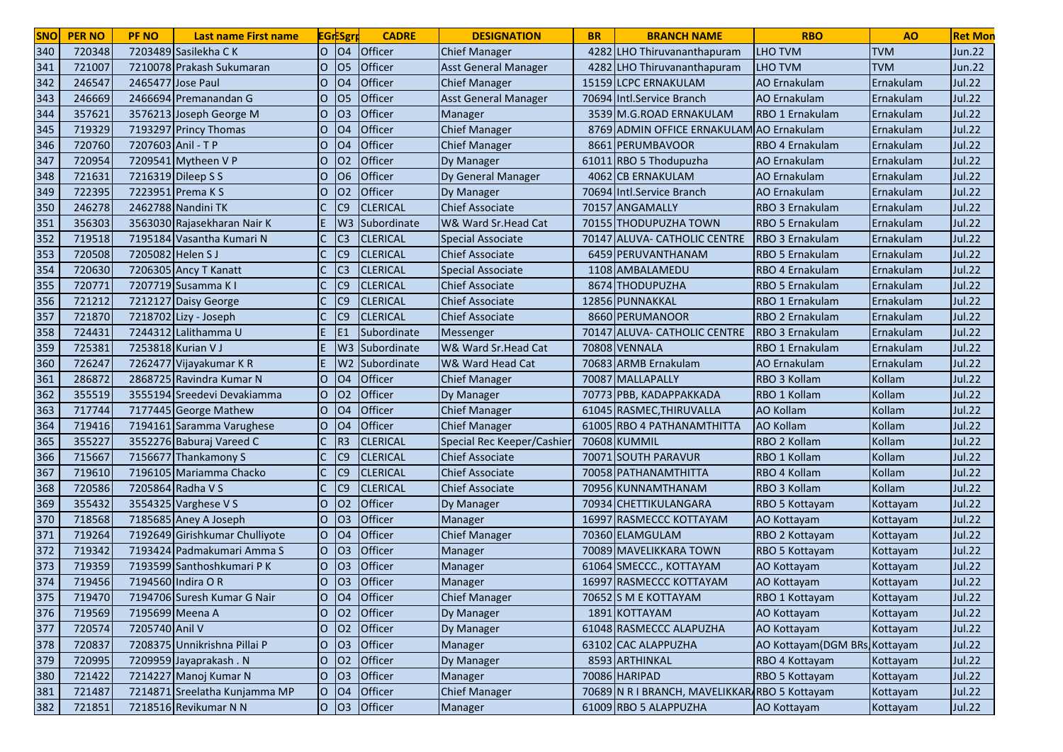| <b>SNO</b> | <b>PER NO</b> | <b>PF NO</b>       | <b>Last name First name</b>    |                | <b>EGrESgry</b> | <b>CADRE</b>    | <b>DESIGNATION</b>          | <b>BR</b> | <b>BRANCH NAME</b>                            | <b>RBO</b>                    | A <sub>O</sub> | <b>Ret Mon</b> |
|------------|---------------|--------------------|--------------------------------|----------------|-----------------|-----------------|-----------------------------|-----------|-----------------------------------------------|-------------------------------|----------------|----------------|
| 340        | 720348        |                    | 7203489 Sasilekha C K          | lo             | <b>O4</b>       | Officer         | <b>Chief Manager</b>        | 4282      | LHO Thiruvananthapuram                        | <b>LHO TVM</b>                | <b>TVM</b>     | Jun.22         |
| 341        | 721007        |                    | 7210078 Prakash Sukumaran      | 0              | 05              | Officer         | <b>Asst General Manager</b> | 4282      | LHO Thiruvananthapuram                        | LHO TVM                       | <b>TVM</b>     | Jun.22         |
| 342        | 246547        |                    | 2465477 Jose Paul              | 0              | O <sub>4</sub>  | Officer         | <b>Chief Manager</b>        |           | 15159 LCPC ERNAKULAM                          | AO Ernakulam                  | Ernakulam      | <b>Jul.22</b>  |
| 343        | 246669        |                    | 2466694 Premanandan G          | O              | lO <sub>5</sub> | Officer         | <b>Asst General Manager</b> |           | 70694 Intl.Service Branch                     | AO Ernakulam                  | Ernakulam      | <b>Jul.22</b>  |
| 344        | 357621        |                    | 3576213 Joseph George M        | O              | lO <sub>3</sub> | Officer         | Manager                     |           | 3539 M.G.ROAD ERNAKULAM                       | <b>RBO 1 Ernakulam</b>        | Ernakulam      | <b>Jul.22</b>  |
| 345        | 719329        |                    | 7193297 Princy Thomas          | O              | 04              | Officer         | <b>Chief Manager</b>        |           | 8769 ADMIN OFFICE ERNAKULAM AO Ernakulam      |                               | Ernakulam      | <b>Jul.22</b>  |
| 346        | 720760        | 7207603 Anil - T P |                                | 0              | O <sub>4</sub>  | Officer         | <b>Chief Manager</b>        | 8661      | PERUMBAVOOR                                   | RBO 4 Ernakulam               | Ernakulam      | Jul.22         |
| 347        | 720954        |                    | 7209541 Mytheen V P            | lO.            | O <sub>2</sub>  | Officer         | Dy Manager                  | 61011     | <b>RBO 5 Thodupuzha</b>                       | <b>AO</b> Ernakulam           | Ernakulam      | <b>Jul.22</b>  |
| 348        | 721631        |                    | 7216319 Dileep S S             | lO.            | 06              | Officer         | Dy General Manager          |           | 4062 CB ERNAKULAM                             | <b>AO</b> Ernakulam           | Ernakulam      | <b>Jul.22</b>  |
| 349        | 722395        |                    | 7223951 Prema K S              | 0              | O <sub>2</sub>  | Officer         | Dy Manager                  |           | 70694 Intl.Service Branch                     | AO Ernakulam                  | Ernakulam      | <b>Jul.22</b>  |
| 350        | 246278        |                    | 2462788 Nandini TK             |                | C <sub>9</sub>  | <b>CLERICAL</b> | <b>Chief Associate</b>      |           | 70157 ANGAMALLY                               | RBO 3 Ernakulam               | Ernakulam      | <b>Jul.22</b>  |
| 351        | 356303        |                    | 3563030 Rajasekharan Nair K    |                | W <sub>3</sub>  | Subordinate     | W& Ward Sr.Head Cat         |           | 70155 THODUPUZHA TOWN                         | RBO 5 Ernakulam               | Ernakulam      | <b>Jul.22</b>  |
| 352        | 719518        |                    | 7195184 Vasantha Kumari N      |                | C <sub>3</sub>  | <b>CLERICAL</b> | <b>Special Associate</b>    |           | 70147 ALUVA- CATHOLIC CENTRE                  | RBO 3 Ernakulam               | Ernakulam      | <b>Jul.22</b>  |
| 353        | 720508        | 7205082 Helen S J  |                                |                | C <sub>9</sub>  | <b>CLERICAL</b> | <b>Chief Associate</b>      |           | 6459 PERUVANTHANAM                            | RBO 5 Ernakulam               | Ernakulam      | <b>Jul.22</b>  |
| 354        | 720630        |                    | 7206305 Ancy T Kanatt          |                | IC3             | <b>CLERICAL</b> | <b>Special Associate</b>    |           | 1108 AMBALAMEDU                               | RBO 4 Ernakulam               | Ernakulam      | <b>Jul.22</b>  |
| 355        | 720771        |                    | 7207719 Susamma K I            |                | C <sub>9</sub>  | <b>CLERICAL</b> | <b>Chief Associate</b>      |           | 8674 THODUPUZHA                               | RBO 5 Ernakulam               | Ernakulam      | <b>Jul.22</b>  |
| 356        | 721212        |                    | 7212127 Daisy George           |                | C <sub>9</sub>  | <b>CLERICAL</b> | <b>Chief Associate</b>      |           | 12856 PUNNAKKAL                               | RBO 1 Ernakulam               | Ernakulam      | <b>Jul.22</b>  |
| 357        | 721870        |                    | 7218702 Lizy - Joseph          |                | C9              | <b>CLERICAL</b> | <b>Chief Associate</b>      |           | 8660 PERUMANOOR                               | RBO 2 Ernakulam               | Ernakulam      | <b>Jul.22</b>  |
| 358        | 724431        |                    | 7244312 Lalithamma U           |                | IE1             | Subordinate     | Messenger                   |           | 70147 ALUVA- CATHOLIC CENTRE                  | RBO 3 Ernakulam               | Ernakulam      | <b>Jul.22</b>  |
| 359        | 725381        |                    | 7253818 Kurian V J             |                | W <sub>3</sub>  | Subordinate     | W& Ward Sr. Head Cat        |           | 70808 VENNALA                                 | RBO 1 Ernakulam               | Ernakulam      | Jul.22         |
| 360        | 726247        |                    | 7262477 Vijayakumar KR         |                | W2              | Subordinate     | W& Ward Head Cat            |           | 70683 ARMB Ernakulam                          | <b>AO Ernakulam</b>           | Ernakulam      | <b>Jul.22</b>  |
| 361        | 286872        |                    | 2868725 Ravindra Kumar N       | O              | 04              | Officer         | <b>Chief Manager</b>        |           | 70087 MALLAPALLY                              | RBO 3 Kollam                  | Kollam         | <b>Jul.22</b>  |
| 362        | 355519        |                    | 3555194 Sreedevi Devakiamma    | lO.            | 02              | Officer         | Dy Manager                  |           | 70773 PBB, KADAPPAKKADA                       | RBO 1 Kollam                  | Kollam         | <b>Jul.22</b>  |
| 363        | 717744        |                    | 7177445 George Mathew          | lO.            | O <sub>4</sub>  | Officer         | <b>Chief Manager</b>        |           | 61045 RASMEC, THIRUVALLA                      | <b>AO Kollam</b>              | Kollam         | Jul.22         |
| 364        | 719416        |                    | 7194161 Saramma Varughese      | lo             | O <sub>4</sub>  | Officer         | <b>Chief Manager</b>        |           | 61005 RBO 4 PATHANAMTHITTA                    | <b>AO Kollam</b>              | Kollam         | <b>Jul.22</b>  |
| 365        | 355227        |                    | 3552276 Baburaj Vareed C       |                | R <sub>3</sub>  | <b>CLERICAL</b> | Special Rec Keeper/Cashie   |           | 70608 KUMMIL                                  | RBO 2 Kollam                  | Kollam         | <b>Jul.22</b>  |
| 366        | 715667        |                    | 7156677 Thankamony S           |                | C <sub>9</sub>  | <b>CLERICAL</b> | <b>Chief Associate</b>      |           | 70071 SOUTH PARAVUR                           | RBO 1 Kollam                  | Kollam         | <b>Jul.22</b>  |
| 367        | 719610        |                    | 7196105 Mariamma Chacko        |                | C <sub>9</sub>  | <b>CLERICAL</b> | <b>Chief Associate</b>      |           | 70058 PATHANAMTHITTA                          | RBO 4 Kollam                  | Kollam         | <b>Jul.22</b>  |
| 368        | 720586        |                    | 7205864 Radha V S              |                | C <sub>9</sub>  | <b>CLERICAL</b> | <b>Chief Associate</b>      |           | 70956 KUNNAMTHANAM                            | RBO 3 Kollam                  | Kollam         | <b>Jul.22</b>  |
| 369        | 355432        |                    | 3554325 Varghese V S           | 0              | 02              | Officer         | Dy Manager                  |           | 70934 CHETTIKULANGARA                         | RBO 5 Kottayam                | Kottayam       | <b>Jul.22</b>  |
| 370        | 718568        |                    | 7185685 Aney A Joseph          | Ю              | O <sub>3</sub>  | Officer         | Manager                     |           | 16997 RASMECCC KOTTAYAM                       | AO Kottayam                   | Kottayam       | <b>Jul.22</b>  |
| 371        | 719264        |                    | 7192649 Girishkumar Chulliyote | lO             | O <sub>4</sub>  | Officer         | <b>Chief Manager</b>        |           | 70360 ELAMGULAM                               | RBO 2 Kottayam                | Kottayam       | <b>Jul.22</b>  |
| 372        | 719342        |                    | 7193424 Padmakumari Amma S     | lO             | O <sub>3</sub>  | Officer         | Manager                     |           | 70089 MAVELIKKARA TOWN                        | RBO 5 Kottayam                | Kottayam       | <b>Jul.22</b>  |
| 373        | 719359        |                    | 7193599 Santhoshkumari PK      | O              | O <sub>3</sub>  | Officer         | <b>Manager</b>              |           | 61064 SMECCC., KOTTAYAM                       | AO Kottayam                   | Kottayam       | <b>Jul.22</b>  |
| 374        | 719456        |                    | 7194560 Indira OR              | O              | 03              | Officer         | <b>Manager</b>              |           | 16997 RASMECCC KOTTAYAM                       | AO Kottayam                   | Kottayam       | <b>Jul.22</b>  |
| 375        | 719470        |                    | 7194706 Suresh Kumar G Nair    | IО             | 104             | <b>Officer</b>  | <b>Chief Manager</b>        |           | 70652 S M E KOTTAYAM                          | RBO 1 Kottayam                | Kottayam       | Jul.22         |
| 376        | 719569        | 7195699 Meena A    |                                | O              | 02              | Officer         | Dy Manager                  |           | 1891 KOTTAYAM                                 | AO Kottayam                   | Kottayam       | <b>Jul.22</b>  |
| 377        | 720574        | 7205740 Anil V     |                                | O              | <b>O2</b>       | Officer         | Dy Manager                  |           | 61048 RASMECCC ALAPUZHA                       | AO Kottayam                   | Kottayam       | Jul.22         |
| 378        | 720837        |                    | 7208375 Unnikrishna Pillai P   | O              | O <sub>3</sub>  | Officer         | Manager                     |           | 63102 CAC ALAPPUZHA                           | AO Kottayam (DGM BRs Kottayam |                | <b>Jul.22</b>  |
| 379        | 720995        |                    | 7209959 Jayaprakash. N         | lo             | <b>O2</b>       | Officer         | Dy Manager                  |           | 8593 ARTHINKAL                                | RBO 4 Kottayam                | Kottayam       | Jul.22         |
| 380        | 721422        |                    | 7214227 Manoj Kumar N          | lo             | O <sub>3</sub>  | Officer         | Manager                     |           | 70086 HARIPAD                                 | RBO 5 Kottayam                | Kottayam       | Jul.22         |
| 381        | 721487        |                    | 7214871 Sreelatha Kunjamma MP  | <b>O</b>       | 04              | Officer         | <b>Chief Manager</b>        |           | 70689 N R I BRANCH, MAVELIKKAR RBO 5 Kottayam |                               | Kottayam       | Jul.22         |
| 382        | 721851        |                    | 7218516 Revikumar N N          | $\overline{O}$ | $ 03\rangle$    | Officer         | Manager                     |           | 61009 RBO 5 ALAPPUZHA                         | AO Kottayam                   | Kottayam       | <b>Jul.22</b>  |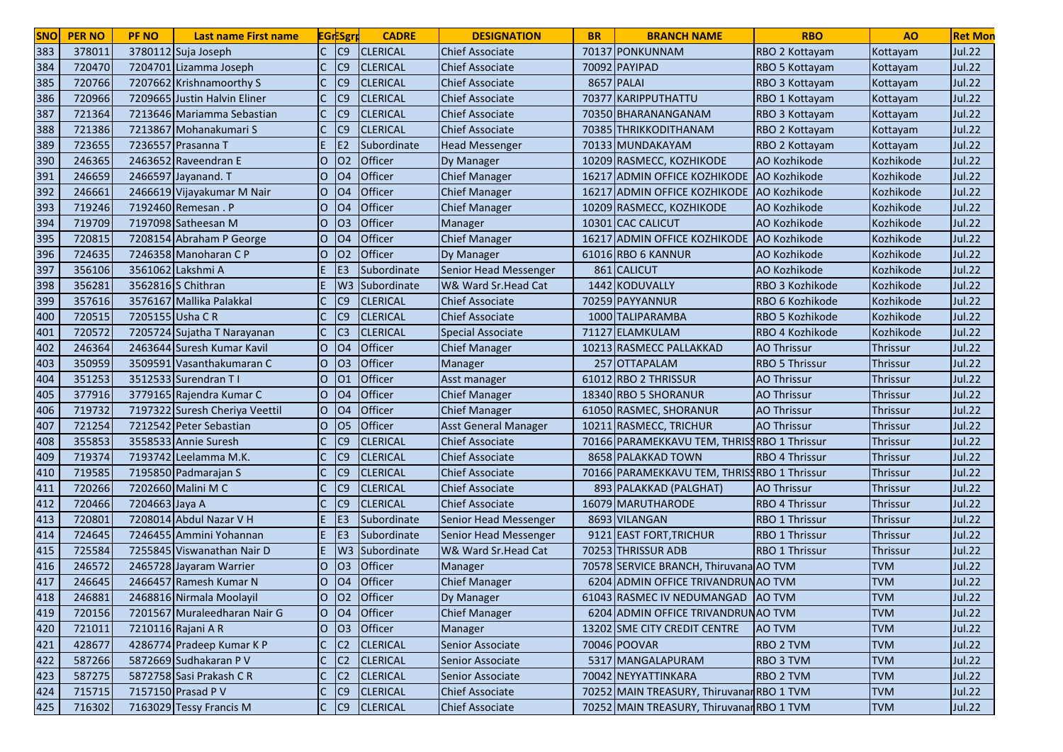| <b>SNO</b> | <b>PER NO</b> | <b>PF NO</b>     | <b>Last name First name</b>    | <b>EGrESgrp</b>                  | <b>CADRE</b>      | <b>DESIGNATION</b>           | <b>BR</b> | <b>BRANCH NAME</b>                          | <b>RBO</b>            | A <sub>O</sub>  | <b>Ret Mon</b> |
|------------|---------------|------------------|--------------------------------|----------------------------------|-------------------|------------------------------|-----------|---------------------------------------------|-----------------------|-----------------|----------------|
| 383        | 378011        |                  | 3780112 Suja Joseph            | C<br>C9                          | <b>CLERICAL</b>   | <b>Chief Associate</b>       |           | 70137 PONKUNNAM                             | RBO 2 Kottayam        | Kottayam        | <b>Jul.22</b>  |
| 384        | 720470        |                  | 7204701 Lizamma Joseph         | C9                               | <b>CLERICAL</b>   | <b>Chief Associate</b>       |           | 70092 PAYIPAD                               | RBO 5 Kottayam        | Kottayam        | <b>Jul.22</b>  |
| 385        | 720766        |                  | 7207662 Krishnamoorthy S       | C9                               | <b>CLERICAL</b>   | <b>Chief Associate</b>       |           | 8657 PALAI                                  | RBO 3 Kottayam        | Kottayam        | <b>Jul.22</b>  |
| 386        | 720966        |                  | 7209665 Justin Halvin Eliner   | C9                               | <b>CLERICAL</b>   | <b>Chief Associate</b>       | 70377     | <b>KARIPPUTHATTU</b>                        | RBO 1 Kottayam        | Kottayam        | <b>Jul.22</b>  |
| 387        | 721364        |                  | 7213646 Mariamma Sebastian     | C9                               | <b>CLERICAL</b>   | <b>Chief Associate</b>       |           | 70350 BHARANANGANAM                         | RBO 3 Kottayam        | Kottayam        | <b>Jul.22</b>  |
| 388        | 721386        |                  | 7213867 Mohanakumari S         | C9                               | <b>CLERICAL</b>   | <b>Chief Associate</b>       |           | 70385 THRIKKODITHANAM                       | RBO 2 Kottayam        | Kottayam        | <b>Jul.22</b>  |
| 389        | 723655        |                  | 7236557 Prasanna T             | E <sub>2</sub>                   | Subordinate       | <b>Head Messenger</b>        |           | 70133 MUNDAKAYAM                            | RBO 2 Kottayam        | Kottayam        | Jul.22         |
| 390        | 246365        |                  | 2463652 Raveendran E           | $\circ$<br>02                    | Officer           | Dy Manager                   |           | 10209 RASMECC, KOZHIKODE                    | AO Kozhikode          | Kozhikode       | <b>Jul.22</b>  |
| 391        | 246659        |                  | 2466597 Jayanand. T            | $\circ$<br><b>O4</b>             | Officer           | <b>Chief Manager</b>         | 16217     | <b>ADMIN OFFICE KOZHIKODE</b>               | AO Kozhikode          | Kozhikode       | <b>Jul.22</b>  |
| 392        | 246661        |                  | 2466619 Vijayakumar M Nair     | $\overline{O}$<br><b>O4</b>      | Officer           | <b>Chief Manager</b>         | 16217     | ADMIN OFFICE KOZHIKODE AO Kozhikode         |                       | Kozhikode       | <b>Jul.22</b>  |
| 393        | 719246        |                  | 7192460 Remesan . P            | O<br>O <sub>4</sub>              | <b>Officer</b>    | <b>Chief Manager</b>         |           | 10209 RASMECC, KOZHIKODE                    | AO Kozhikode          | Kozhikode       | <b>Jul.22</b>  |
| 394        | 719709        |                  | 7197098 Satheesan M            | O<br>03                          | <b>Officer</b>    | Manager                      |           | 10301 CAC CALICUT                           | AO Kozhikode          | Kozhikode       | <b>Jul.22</b>  |
| 395        | 720815        |                  | 7208154 Abraham P George       | O<br><b>O4</b>                   | Officer           | <b>Chief Manager</b>         |           | 16217 ADMIN OFFICE KOZHIKODE                | AO Kozhikode          | Kozhikode       | <b>Jul.22</b>  |
| 396        | 724635        |                  | 7246358 Manoharan C P          | O<br>02                          | Officer           | Dy Manager                   |           | 61016 RBO 6 KANNUR                          | AO Kozhikode          | Kozhikode       | <b>Jul.22</b>  |
| 397        | 356106        |                  | 3561062 Lakshmi A              | E <sub>3</sub>                   | Subordinate       | <b>Senior Head Messenger</b> |           | 861 CALICUT                                 | AO Kozhikode          | Kozhikode       | <b>Jul.22</b>  |
| 398        | 356281        |                  | 3562816 S Chithran             |                                  | W3 Subordinate    | W& Ward Sr.Head Cat          |           | 1442 KODUVALLY                              | RBO 3 Kozhikode       | Kozhikode       | <b>Jul.22</b>  |
| 399        | 357616        |                  | 3576167 Mallika Palakkal       | C9                               | <b>CLERICAL</b>   | <b>Chief Associate</b>       |           | 70259 PAYYANNUR                             | RBO 6 Kozhikode       | Kozhikode       | <b>Jul.22</b>  |
| 400        | 720515        | 7205155 Usha C R |                                | C9                               | <b>CLERICAL</b>   | <b>Chief Associate</b>       |           | 1000 TALIPARAMBA                            | RBO 5 Kozhikode       | Kozhikode       | <b>Jul.22</b>  |
| 401        | 720572        |                  | 7205724 Sujatha T Narayanan    | C3                               | <b>CLERICAL</b>   | Special Associate            |           | 71127 ELAMKULAM                             | RBO 4 Kozhikode       | Kozhikode       | <b>Jul.22</b>  |
| 402        | 246364        |                  | 2463644 Suresh Kumar Kavil     | O <sub>4</sub><br>lO.            | Officer           | <b>Chief Manager</b>         |           | 10213 RASMECC PALLAKKAD                     | <b>AO Thrissur</b>    | <b>Thrissur</b> | Jul.22         |
| 403        | 350959        |                  | 3509591 Vasanthakumaran C      | $\circ$<br>O3                    | Officer           | Manager                      | 257       | <b>OTTAPALAM</b>                            | <b>RBO 5 Thrissur</b> | Thrissur        | <b>Jul.22</b>  |
| 404        | 351253        |                  | 3512533 Surendran T I          | $\mathsf{O}$<br>01               | Officer           | Asst manager                 | 61012     | <b>RBO 2 THRISSUR</b>                       | <b>AO Thrissur</b>    | <b>Thrissur</b> | <b>Jul.22</b>  |
| 405        | 377916        |                  | 3779165 Rajendra Kumar C       | $\overline{O}$<br>O4             | Officer           | <b>Chief Manager</b>         |           | 18340 RBO 5 SHORANUR                        | <b>AO Thrissur</b>    | <b>Thrissur</b> | <b>Jul.22</b>  |
| 406        | 719732        |                  | 7197322 Suresh Cheriya Veettil | $\overline{O}$<br>O <sub>4</sub> | Officer           | <b>Chief Manager</b>         |           | 61050 RASMEC, SHORANUR                      | <b>AO Thrissur</b>    | Thrissur        | Jul.22         |
| 407        | 721254        |                  | 7212542 Peter Sebastian        | $\overline{O}$<br>05             | Officer           | <b>Asst General Manager</b>  | 10211     | RASMECC, TRICHUR                            | <b>AO Thrissur</b>    | Thrissur        | <b>Jul.22</b>  |
| 408        | 355853        |                  | 3558533 Annie Suresh           | C<br>C9                          | <b>CLERICAL</b>   | <b>Chief Associate</b>       |           | 70166 PARAMEKKAVU TEM, THRISSRBO 1 Thrissur |                       | <b>Thrissur</b> | <b>Jul.22</b>  |
| 409        | 719374        |                  | 7193742 Leelamma M.K.          | C<br>C9                          | <b>CLERICAL</b>   | <b>Chief Associate</b>       |           | 8658 PALAKKAD TOWN                          | <b>RBO 4 Thrissur</b> | Thrissur        | <b>Jul.22</b>  |
| 410        | 719585        |                  | 7195850 Padmarajan S           | C<br>C9                          | <b>CLERICAL</b>   | <b>Chief Associate</b>       |           | 70166 PARAMEKKAVU TEM, THRISSRBO 1 Thrissur |                       | Thrissur        | <b>Jul.22</b>  |
| 411        | 720266        |                  | 7202660 Malini M C             | C<br>C9                          | <b>CLERICAL</b>   | <b>Chief Associate</b>       |           | 893 PALAKKAD (PALGHAT)                      | <b>AO Thrissur</b>    | <b>Thrissur</b> | <b>Jul.22</b>  |
| 412        | 720466        | 7204663 Jaya A   |                                | C9                               | <b>CLERICAL</b>   | <b>Chief Associate</b>       |           | 16079 MARUTHARODE                           | <b>RBO 4 Thrissur</b> | <b>Thrissur</b> | <b>Jul.22</b>  |
| 413        | 720801        |                  | 7208014 Abdul Nazar V H        | E.<br>IE3                        | Subordinate       | Senior Head Messenger        |           | 8693 VILANGAN                               | <b>RBO 1 Thrissur</b> | Thrissur        | <b>Jul.22</b>  |
| 414        | 724645        |                  | 7246455 Ammini Yohannan        | E.<br>E <sub>3</sub>             | Subordinate       | Senior Head Messenger        |           | 9121 EAST FORT, TRICHUR                     | <b>RBO 1 Thrissur</b> | Thrissur        | <b>Jul.22</b>  |
| 415        | 725584        |                  | 7255845 Viswanathan Nair D     |                                  | W3 Subordinate    | W& Ward Sr.Head Cat          |           | 70253 THRISSUR ADB                          | <b>RBO 1 Thrissur</b> | Thrissur        | <b>Jul.22</b>  |
| 416        | 246572        |                  | 2465728 Jayaram Warrier        | $\circ$<br>O <sub>3</sub>        | Officer           | Manager                      |           | 70578 SERVICE BRANCH, Thiruvana AO TVM      |                       | <b>TVM</b>      | <b>Jul.22</b>  |
| 417        | 246645        |                  | 2466457 Ramesh Kumar N         | <b>O4</b><br>lO.                 | Officer           | <b>Chief Manager</b>         |           | 6204 ADMIN OFFICE TRIVANDRUNAO TVM          |                       | <b>TVM</b>      | <b>Jul.22</b>  |
| 418        | 246881        |                  | 2468816 Nirmala Moolayil       | IО                               | <b>O2</b> Officer | Dy Manager                   |           | 61043 RASMEC IV NEDUMANGAD TAO TVM          |                       | <b>TVM</b>      | Jul.22         |
| 419        | 720156        |                  | 7201567 Muraleedharan Nair G   | lo                               | 04 Officer        | <b>Chief Manager</b>         |           | 6204 ADMIN OFFICE TRIVANDRUNAO TVM          |                       | <b>TVM</b>      | <b>Jul.22</b>  |
| 420        | 721011        |                  | 7210116 Rajani A R             | $\overline{O}$<br>03             | Officer           | Manager                      |           | 13202 SME CITY CREDIT CENTRE                | AO TVM                | <b>TVM</b>      | <b>Jul.22</b>  |
| 421        | 428677        |                  | 4286774 Pradeep Kumar K P      | C<br>C <sub>2</sub>              | <b>CLERICAL</b>   | Senior Associate             |           | 70046 POOVAR                                | <b>RBO 2 TVM</b>      | <b>TVM</b>      | Jul.22         |
| 422        | 587266        |                  | 5872669 Sudhakaran P V         | $\mathsf{C}$                     | C2 CLERICAL       | Senior Associate             |           | 5317 MANGALAPURAM                           | RBO 3 TVM             | <b>TVM</b>      | Jul.22         |
| 423        | 587275        |                  | 5872758 Sasi Prakash C R       | $\mathsf{C}$                     | C2 CLERICAL       | Senior Associate             |           | 70042 NEYYATTINKARA                         | RBO 2 TVM             | <b>TVM</b>      | Jul.22         |
| 424        | 715715        |                  | 7157150 Prasad P V             | $\mathsf{C}$<br> C9              | <b>CLERICAL</b>   | <b>Chief Associate</b>       |           | 70252 MAIN TREASURY, Thiruvanar RBO 1 TVM   |                       | <b>TVM</b>      | Jul.22         |
| 425        | 716302        |                  | 7163029 Tessy Francis M        | $C$ $C9$                         | <b>CLERICAL</b>   | <b>Chief Associate</b>       |           | 70252 MAIN TREASURY, Thiruvanar RBO 1 TVM   |                       | <b>TVM</b>      | Jul.22         |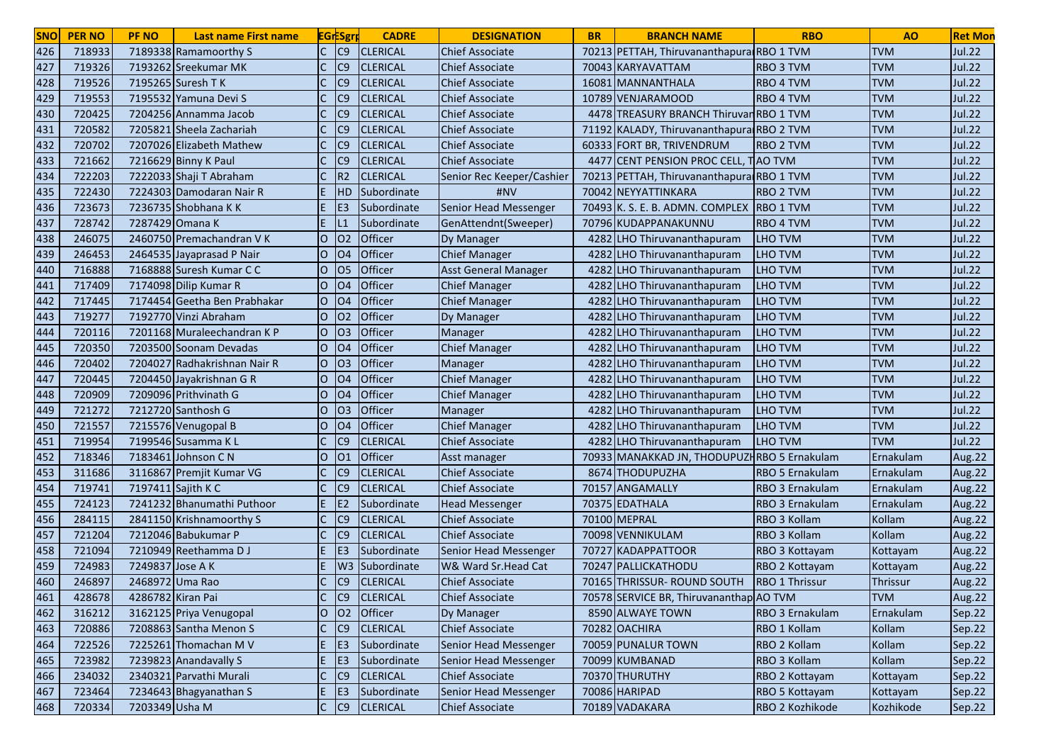| <b>SNO</b> | <b>PER NO</b> | <b>PF NO</b>      | <b>Last name First name</b>  |                | <b>EGrESgrp</b> | <b>CADRE</b>    | <b>DESIGNATION</b>          | <b>BR</b> | <b>BRANCH NAME</b>                           | <b>RBO</b>             | A <sub>O</sub> | <b>Ret Mon</b> |
|------------|---------------|-------------------|------------------------------|----------------|-----------------|-----------------|-----------------------------|-----------|----------------------------------------------|------------------------|----------------|----------------|
| 426        | 718933        |                   | 7189338 Ramamoorthy S        | C              | C9              | <b>CLERICAL</b> | <b>Chief Associate</b>      |           | 70213 PETTAH, Thiruvananthapura RBO 1 TVM    |                        | <b>TVM</b>     | <b>Jul.22</b>  |
| 427        | 719326        |                   | 7193262 Sreekumar MK         |                | C9              | <b>CLERICAL</b> | <b>Chief Associate</b>      |           | 70043 KARYAVATTAM                            | <b>RBO 3 TVM</b>       | <b>TVM</b>     | <b>Jul.22</b>  |
| 428        | 719526        |                   | 7195265 Suresh T K           |                | C9              | <b>CLERICAL</b> | <b>Chief Associate</b>      |           | 16081 MANNANTHALA                            | RBO 4 TVM              | <b>TVM</b>     | <b>Jul.22</b>  |
| 429        | 719553        |                   | 7195532 Yamuna Devi S        |                | C9              | <b>CLERICAL</b> | <b>Chief Associate</b>      |           | 10789 VENJARAMOOD                            | RBO 4 TVM              | <b>TVM</b>     | <b>Jul.22</b>  |
| 430        | 720425        |                   | 7204256 Annamma Jacob        |                | C9              | <b>CLERICAL</b> | <b>Chief Associate</b>      |           | 4478 TREASURY BRANCH Thiruvar RBO 1 TVM      |                        | <b>TVM</b>     | <b>Jul.22</b>  |
| 431        | 720582        |                   | 7205821 Sheela Zachariah     |                | C9              | <b>CLERICAL</b> | <b>Chief Associate</b>      | 71192     | KALADY, Thiruvananthapura RBO 2 TVM          |                        | <b>TVM</b>     | <b>Jul.22</b>  |
| 432        | 720702        |                   | 7207026 Elizabeth Mathew     |                | C9              | <b>CLERICAL</b> | <b>Chief Associate</b>      |           | 60333 FORT BR, TRIVENDRUM                    | <b>RBO 2 TVM</b>       | <b>TVM</b>     | <b>Jul.22</b>  |
| 433        | 721662        |                   | 7216629 Binny K Paul         |                | C9              | <b>CLERICAL</b> | <b>Chief Associate</b>      | 4477      | CENT PENSION PROC CELL, TAO TVM              |                        | <b>TVM</b>     | <b>Jul.22</b>  |
| 434        | 722203        |                   | 7222033 Shaji T Abraham      | C              | R <sub>2</sub>  | <b>CLERICAL</b> | Senior Rec Keeper/Cashier   |           | 70213 PETTAH, Thiruvananthapura RBO 1 TVM    |                        | <b>TVM</b>     | <b>Jul.22</b>  |
| 435        | 722430        |                   | 7224303 Damodaran Nair R     | E.             | <b>HD</b>       | Subordinate     | #NV                         |           | 70042 NEYYATTINKARA                          | <b>RBO 2 TVM</b>       | <b>TVM</b>     | <b>Jul.22</b>  |
| 436        | 723673        |                   | 7236735 Shobhana K K         | E.             | IE3             | Subordinate     | Senior Head Messenger       |           | 70493 K. S. E. B. ADMN. COMPLEX RBO 1 TVM    |                        | <b>TVM</b>     | <b>Jul.22</b>  |
| 437        | 728742        | 7287429 Omana K   |                              | E.             | IL1             | Subordinate     | GenAttendnt(Sweeper)        |           | 70796 KUDAPPANAKUNNU                         | <b>RBO 4 TVM</b>       | <b>TVM</b>     | <b>Jul.22</b>  |
| 438        | 246075        |                   | 2460750 Premachandran VK     | O              | 02              | Officer         | Dy Manager                  |           | 4282 LHO Thiruvananthapuram                  | <b>LHO TVM</b>         | <b>TVM</b>     | <b>Jul.22</b>  |
| 439        | 246453        |                   | 2464535 Jayaprasad P Nair    | O              | O <sub>4</sub>  | Officer         | <b>Chief Manager</b>        | 4282      | LHO Thiruvananthapuram                       | <b>LHO TVM</b>         | <b>TVM</b>     | <b>Jul.22</b>  |
| 440        | 716888        |                   | 7168888 Suresh Kumar C C     | O              | 05              | Officer         | <b>Asst General Manager</b> | 4282      | LHO Thiruvananthapuram                       | <b>LHO TVM</b>         | <b>TVM</b>     | <b>Jul.22</b>  |
| 441        | 717409        |                   | 7174098 Dilip Kumar R        | O              | O <sub>4</sub>  | Officer         | <b>Chief Manager</b>        | 4282      | LHO Thiruvananthapuram                       | <b>LHO TVM</b>         | <b>TVM</b>     | <b>Jul.22</b>  |
| 442        | 717445        |                   | 7174454 Geetha Ben Prabhakar | O              | O <sub>4</sub>  | Officer         | <b>Chief Manager</b>        | 4282      | LHO Thiruvananthapuram                       | <b>LHO TVM</b>         | <b>TVM</b>     | <b>Jul.22</b>  |
| 443        | 719277        |                   | 7192770 Vinzi Abraham        | O              | <b>O2</b>       | Officer         | Dy Manager                  | 4282      | LHO Thiruvananthapuram                       | <b>LHO TVM</b>         | <b>TVM</b>     | <b>Jul.22</b>  |
| 444        | 720116        |                   | 7201168 Muraleechandran K P  | O              | O <sub>3</sub>  | Officer         | Manager                     | 4282      | LHO Thiruvananthapuram                       | <b>LHO TVM</b>         | <b>TVM</b>     | <b>Jul.22</b>  |
| 445        | 720350        |                   | 7203500 Soonam Devadas       | lO.            | O <sub>4</sub>  | Officer         | <b>Chief Manager</b>        | 4282      | LHO Thiruvananthapuram                       | <b>LHO TVM</b>         | <b>TVM</b>     | Jul.22         |
| 446        | 720402        |                   | 7204027 Radhakrishnan Nair R | lO.            | O3              | <b>Officer</b>  | Manager                     | 4282      | LHO Thiruvananthapuram                       | <b>LHO TVM</b>         | <b>TVM</b>     | <b>Jul.22</b>  |
| 447        | 720445        |                   | 7204450 Jayakrishnan G R     | $\circ$        | O <sub>4</sub>  | Officer         | <b>Chief Manager</b>        | 4282      | LHO Thiruvananthapuram                       | <b>LHO TVM</b>         | <b>TVM</b>     | <b>Jul.22</b>  |
| 448        | 720909        |                   | 7209096 Prithvinath G        | $\circ$        | O4              | Officer         | <b>Chief Manager</b>        | 4282      | LHO Thiruvananthapuram                       | <b>LHO TVM</b>         | <b>TVM</b>     | <b>Jul.22</b>  |
| 449        | 721272        |                   | 7212720 Santhosh G           | $\overline{O}$ | O <sub>3</sub>  | Officer         | <b>Manager</b>              | 4282      | LHO Thiruvananthapuram                       | <b>LHO TVM</b>         | <b>TVM</b>     | <b>Jul.22</b>  |
| 450        | 721557        |                   | 7215576 Venugopal B          | $\Omega$       | <b>O4</b>       | Officer         | <b>Chief Manager</b>        | 4282      | LHO Thiruvananthapuram                       | LHO TVM                | <b>TVM</b>     | <b>Jul.22</b>  |
| 451        | 719954        |                   | 7199546 Susamma K L          | C              | C9              | <b>CLERICAL</b> | <b>Chief Associate</b>      | 4282      | LHO Thiruvananthapuram                       | LHO TVM                | <b>TVM</b>     | <b>Jul.22</b>  |
| 452        | 718346        |                   | 7183461 Johnson C N          | O              | 01              | <b>Officer</b>  | Asst manager                |           | 70933 MANAKKAD JN, THODUPUZI RBO 5 Ernakulam |                        | Ernakulam      | Aug.22         |
| 453        | 311686        |                   | 3116867 Premjit Kumar VG     |                | C9              | <b>CLERICAL</b> | <b>Chief Associate</b>      |           | 8674 THODUPUZHA                              | <b>RBO 5 Ernakulam</b> | Ernakulam      | Aug.22         |
| 454        | 719741        |                   | 7197411 Sajith K C           | C              | C9              | <b>CLERICAL</b> | <b>Chief Associate</b>      |           | 70157 ANGAMALLY                              | RBO 3 Ernakulam        | Ernakulam      | Aug.22         |
| 455        | 724123        |                   | 7241232 Bhanumathi Puthoor   | E.             | E <sub>2</sub>  | Subordinate     | <b>Head Messenger</b>       |           | 70375 EDATHALA                               | RBO 3 Ernakulam        | Ernakulam      | Aug.22         |
| 456        | 284115        |                   | 2841150 Krishnamoorthy S     | С              | C9              | <b>CLERICAL</b> | <b>Chief Associate</b>      |           | 70100 MEPRAL                                 | RBO 3 Kollam           | Kollam         | Aug.22         |
| 457        | 721204        |                   | 7212046 Babukumar P          |                | C9              | <b>CLERICAL</b> | <b>Chief Associate</b>      |           | 70098 VENNIKULAM                             | RBO 3 Kollam           | Kollam         | Aug.22         |
| 458        | 721094        |                   | 7210949 Reethamma D J        |                | E <sub>3</sub>  | Subordinate     | Senior Head Messenger       |           | 70727 KADAPPATTOOR                           | RBO 3 Kottayam         | Kottayam       | Aug.22         |
| 459        | 724983        | 7249837 Jose A K  |                              |                | W <sub>3</sub>  | Subordinate     | W& Ward Sr.Head Cat         |           | 70247 PALLICKATHODU                          | RBO 2 Kottayam         | Kottayam       | Aug.22         |
| 460        | 246897        | 2468972 Uma Rao   |                              |                | C9              | <b>CLERICAL</b> | <b>Chief Associate</b>      |           | 70165 THRISSUR-ROUND SOUTH                   | <b>RBO 1 Thrissur</b>  | Thrissur       | Aug.22         |
| 461        | 428678        | 4286782 Kiran Pai |                              |                | C <sub>9</sub>  | <b>CLERICAL</b> | <b>Chief Associate</b>      |           | 70578 SERVICE BR, Thiruvananthap AO TVM      |                        | <b>TVM</b>     | Aug.22         |
| 462        | 316212        |                   | 3162125 Priya Venugopal      | O              | 02              | Officer         | Dy Manager                  |           | 8590 ALWAYE TOWN                             | RBO 3 Ernakulam        | Ernakulam      | Sep.22         |
| 463        | 720886        |                   | 7208863 Santha Menon S       | Ċ              | C <sub>9</sub>  | <b>CLERICAL</b> | <b>Chief Associate</b>      |           | 70282 OACHIRA                                | RBO 1 Kollam           | Kollam         | Sep.22         |
| 464        | 722526        |                   | 7225261 Thomachan M V        | E.             | E <sub>3</sub>  | Subordinate     | Senior Head Messenger       |           | 70059 PUNALUR TOWN                           | RBO 2 Kollam           | Kollam         | Sep.22         |
| 465        | 723982        |                   | 7239823 Anandavally S        | E.             | E <sub>3</sub>  | Subordinate     | Senior Head Messenger       |           | 70099 KUMBANAD                               | RBO 3 Kollam           | Kollam         | Sep.22         |
| 466        | 234032        |                   | 2340321 Parvathi Murali      | $\mathsf{C}$   | C9              | <b>CLERICAL</b> | <b>Chief Associate</b>      |           | 70370 THURUTHY                               | RBO 2 Kottayam         | Kottayam       | Sep.22         |
| 467        | 723464        |                   | 7234643 Bhagyanathan S       | E,             | E <sub>3</sub>  | Subordinate     | Senior Head Messenger       |           | 70086 HARIPAD                                | RBO 5 Kottayam         | Kottayam       | Sep.22         |
| 468        | 720334        | 7203349 Usha M    |                              | $C$ $C9$       |                 | <b>CLERICAL</b> | <b>Chief Associate</b>      |           | 70189 VADAKARA                               | RBO 2 Kozhikode        | Kozhikode      | Sep.22         |